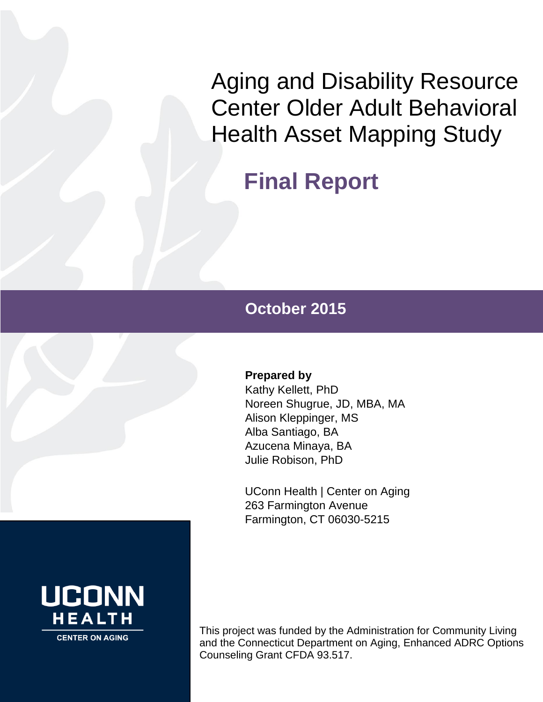Aging and Disability Resource Center Older Adult Behavioral Health Asset Mapping Study

# **Final Report**

# **October 2015**

# **Prepared by**

Kathy Kellett, PhD Noreen Shugrue, JD, MBA, MA Alison Kleppinger, MS Alba Santiago, BA Azucena Minaya, BA Julie Robison, PhD

UConn Health | Center on Aging 263 Farmington Avenue Farmington, CT 06030-5215



This project was funded by the Administration for Community Living and the Connecticut Department on Aging, Enhanced ADRC Options Counseling Grant CFDA 93.517.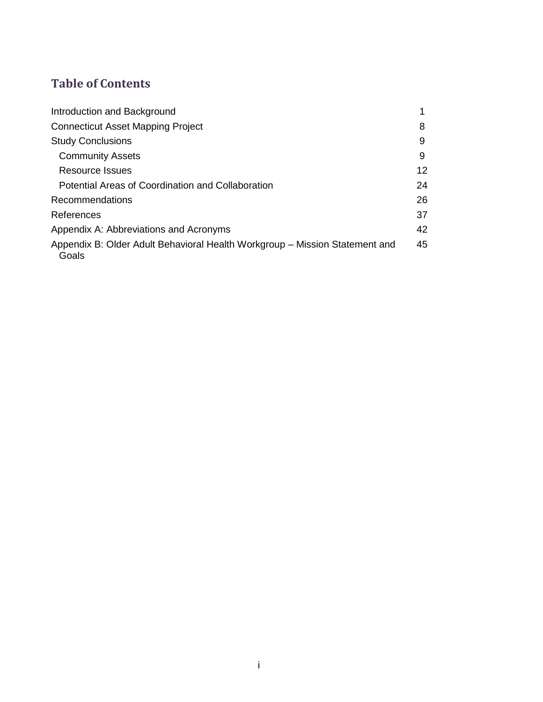# **Table of Contents**

| Introduction and Background                                                          |    |
|--------------------------------------------------------------------------------------|----|
| <b>Connecticut Asset Mapping Project</b>                                             | 8  |
| <b>Study Conclusions</b>                                                             | 9  |
| <b>Community Assets</b>                                                              | 9  |
| Resource Issues                                                                      | 12 |
| Potential Areas of Coordination and Collaboration                                    | 24 |
| Recommendations                                                                      | 26 |
| References                                                                           | 37 |
| Appendix A: Abbreviations and Acronyms                                               | 42 |
| Appendix B: Older Adult Behavioral Health Workgroup – Mission Statement and<br>Goals | 45 |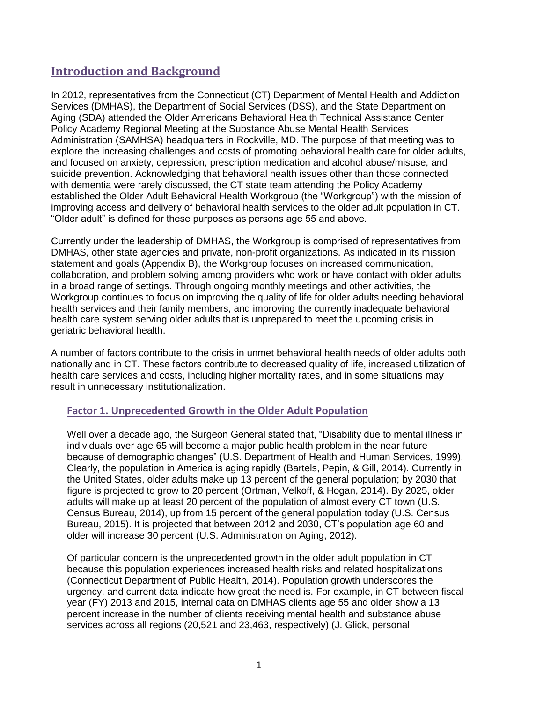# **Introduction and Background**

In 2012, representatives from the Connecticut (CT) Department of Mental Health and Addiction Services (DMHAS), the Department of Social Services (DSS), and the State Department on Aging (SDA) attended the Older Americans Behavioral Health Technical Assistance Center Policy Academy Regional Meeting at the Substance Abuse Mental Health Services Administration (SAMHSA) headquarters in Rockville, MD. The purpose of that meeting was to explore the increasing challenges and costs of promoting behavioral health care for older adults, and focused on anxiety, depression, prescription medication and alcohol abuse/misuse, and suicide prevention. Acknowledging that behavioral health issues other than those connected with dementia were rarely discussed, the CT state team attending the Policy Academy established the Older Adult Behavioral Health Workgroup (the "Workgroup") with the mission of improving access and delivery of behavioral health services to the older adult population in CT. "Older adult" is defined for these purposes as persons age 55 and above.

Currently under the leadership of DMHAS, the Workgroup is comprised of representatives from DMHAS, other state agencies and private, non-profit organizations. As indicated in its mission statement and goals (Appendix B), the Workgroup focuses on increased communication, collaboration, and problem solving among providers who work or have contact with older adults in a broad range of settings. Through ongoing monthly meetings and other activities, the Workgroup continues to focus on improving the quality of life for older adults needing behavioral health services and their family members, and improving the currently inadequate behavioral health care system serving older adults that is unprepared to meet the upcoming crisis in geriatric behavioral health.

A number of factors contribute to the crisis in unmet behavioral health needs of older adults both nationally and in CT. These factors contribute to decreased quality of life, increased utilization of health care services and costs, including higher mortality rates, and in some situations may result in unnecessary institutionalization.

# **Factor 1. Unprecedented Growth in the Older Adult Population**

Well over a decade ago, the Surgeon General stated that, "Disability due to mental illness in individuals over age 65 will become a major public health problem in the near future because of demographic changes" (U.S. Department of Health and Human Services, 1999). Clearly, the population in America is aging rapidly (Bartels, Pepin, & Gill, 2014). Currently in the United States, older adults make up 13 percent of the general population; by 2030 that figure is projected to grow to 20 percent (Ortman, Velkoff, & Hogan, 2014). By 2025, older adults will make up at least 20 percent of the population of almost every CT town (U.S. Census Bureau, 2014), up from 15 percent of the general population today (U.S. Census Bureau, 2015). It is projected that between 2012 and 2030, CT's population age 60 and older will increase 30 percent (U.S. Administration on Aging, 2012).

Of particular concern is the unprecedented growth in the older adult population in CT because this population experiences increased health risks and related hospitalizations (Connecticut Department of Public Health, 2014). Population growth underscores the urgency, and current data indicate how great the need is. For example, in CT between fiscal year (FY) 2013 and 2015, internal data on DMHAS clients age 55 and older show a 13 percent increase in the number of clients receiving mental health and substance abuse services across all regions (20,521 and 23,463, respectively) (J. Glick, personal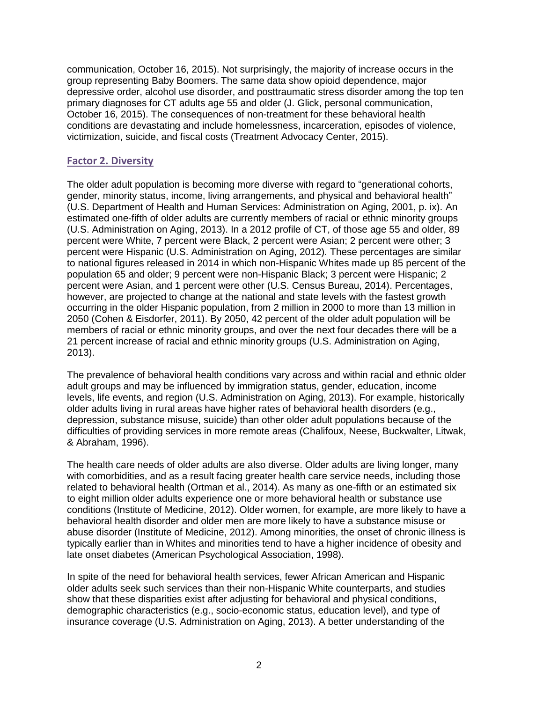communication, October 16, 2015). Not surprisingly, the majority of increase occurs in the group representing Baby Boomers. The same data show opioid dependence, major depressive order, alcohol use disorder, and posttraumatic stress disorder among the top ten primary diagnoses for CT adults age 55 and older (J. Glick, personal communication, October 16, 2015). The consequences of non-treatment for these behavioral health conditions are devastating and include homelessness, incarceration, episodes of violence, victimization, suicide, and fiscal costs (Treatment Advocacy Center, 2015).

# **Factor 2. Diversity**

The older adult population is becoming more diverse with regard to "generational cohorts, gender, minority status, income, living arrangements, and physical and behavioral health" (U.S. Department of Health and Human Services: Administration on Aging, 2001, p. ix). An estimated one-fifth of older adults are currently members of racial or ethnic minority groups (U.S. Administration on Aging, 2013). In a 2012 profile of CT, of those age 55 and older, 89 percent were White, 7 percent were Black, 2 percent were Asian; 2 percent were other; 3 percent were Hispanic (U.S. Administration on Aging, 2012). These percentages are similar to national figures released in 2014 in which non-Hispanic Whites made up 85 percent of the population 65 and older; 9 percent were non-Hispanic Black; 3 percent were Hispanic; 2 percent were Asian, and 1 percent were other (U.S. Census Bureau, 2014). Percentages, however, are projected to change at the national and state levels with the fastest growth occurring in the older Hispanic population, from 2 million in 2000 to more than 13 million in 2050 (Cohen & Eisdorfer, 2011). By 2050, 42 percent of the older adult population will be members of racial or ethnic minority groups, and over the next four decades there will be a 21 percent increase of racial and ethnic minority groups (U.S. Administration on Aging, 2013).

The prevalence of behavioral health conditions vary across and within racial and ethnic older adult groups and may be influenced by immigration status, gender, education, income levels, life events, and region (U.S. Administration on Aging, 2013). For example, historically older adults living in rural areas have higher rates of behavioral health disorders (e.g., depression, substance misuse, suicide) than other older adult populations because of the difficulties of providing services in more remote areas (Chalifoux, Neese, Buckwalter, Litwak, & Abraham, 1996).

The health care needs of older adults are also diverse. Older adults are living longer, many with comorbidities, and as a result facing greater health care service needs, including those related to behavioral health (Ortman et al., 2014). As many as one-fifth or an estimated six to eight million older adults experience one or more behavioral health or substance use conditions (Institute of Medicine, 2012). Older women, for example, are more likely to have a behavioral health disorder and older men are more likely to have a substance misuse or abuse disorder (Institute of Medicine, 2012). Among minorities, the onset of chronic illness is typically earlier than in Whites and minorities tend to have a higher incidence of obesity and late onset diabetes (American Psychological Association, 1998).

In spite of the need for behavioral health services, fewer African American and Hispanic older adults seek such services than their non-Hispanic White counterparts, and studies show that these disparities exist after adjusting for behavioral and physical conditions, demographic characteristics (e.g., socio-economic status, education level), and type of insurance coverage (U.S. Administration on Aging, 2013). A better understanding of the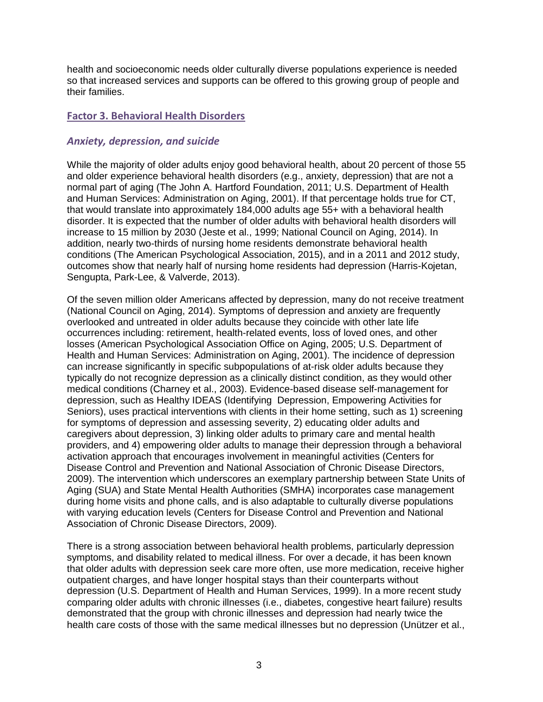health and socioeconomic needs older culturally diverse populations experience is needed so that increased services and supports can be offered to this growing group of people and their families.

### **Factor 3. Behavioral Health Disorders**

### *Anxiety, depression, and suicide*

While the majority of older adults enjoy good behavioral health, about 20 percent of those 55 and older experience behavioral health disorders (e.g., anxiety, depression) that are not a normal part of aging (The John A. Hartford Foundation, 2011; U.S. Department of Health and Human Services: Administration on Aging, 2001). If that percentage holds true for CT, that would translate into approximately 184,000 adults age 55+ with a behavioral health disorder. It is expected that the number of older adults with behavioral health disorders will increase to 15 million by 2030 (Jeste et al., 1999; National Council on Aging, 2014). In addition, nearly two-thirds of nursing home residents demonstrate behavioral health conditions (The American Psychological Association, 2015), and in a 2011 and 2012 study, outcomes show that nearly half of nursing home residents had depression (Harris-Kojetan, Sengupta, Park-Lee, & Valverde, 2013).

Of the seven million older Americans affected by depression, many do not receive treatment (National Council on Aging, 2014). Symptoms of depression and anxiety are frequently overlooked and untreated in older adults because they coincide with other late life occurrences including: retirement, health-related events, loss of loved ones, and other losses (American Psychological Association Office on Aging, 2005; U.S. Department of Health and Human Services: Administration on Aging, 2001). The incidence of depression can increase significantly in specific subpopulations of at-risk older adults because they typically do not recognize depression as a clinically distinct condition, as they would other medical conditions (Charney et al., 2003). Evidence-based disease self-management for depression, such as Healthy IDEAS (Identifying Depression, Empowering Activities for Seniors), uses practical interventions with clients in their home setting, such as 1) screening for symptoms of depression and assessing severity, 2) educating older adults and caregivers about depression, 3) linking older adults to primary care and mental health providers, and 4) empowering older adults to manage their depression through a behavioral activation approach that encourages involvement in meaningful activities (Centers for Disease Control and Prevention and National Association of Chronic Disease Directors, 2009). The intervention which underscores an exemplary partnership between State Units of Aging (SUA) and State Mental Health Authorities (SMHA) incorporates case management during home visits and phone calls, and is also adaptable to culturally diverse populations with varying education levels (Centers for Disease Control and Prevention and National Association of Chronic Disease Directors, 2009).

There is a strong association between behavioral health problems, particularly depression symptoms, and disability related to medical illness. For over a decade, it has been known that older adults with depression seek care more often, use more medication, receive higher outpatient charges, and have longer hospital stays than their counterparts without depression (U.S. Department of Health and Human Services, 1999). In a more recent study comparing older adults with chronic illnesses (i.e., diabetes, congestive heart failure) results demonstrated that the group with chronic illnesses and depression had nearly twice the health care costs of those with the same medical illnesses but no depression (Unützer et al.,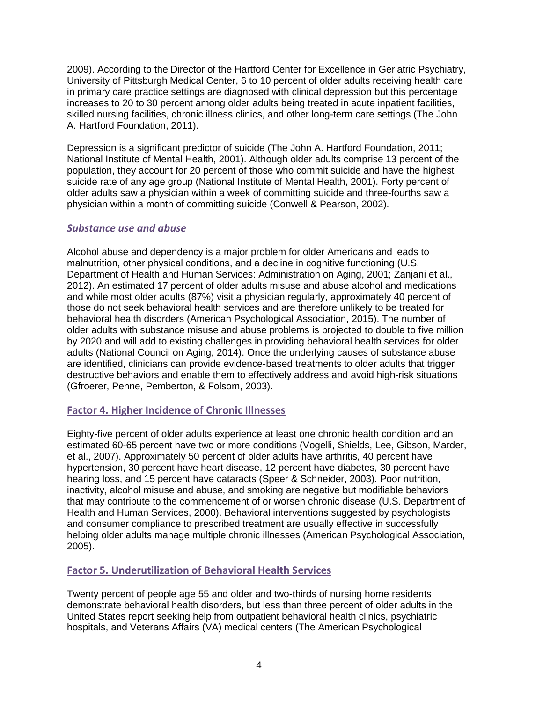2009). According to the Director of the Hartford Center for Excellence in Geriatric Psychiatry, University of Pittsburgh Medical Center, 6 to 10 percent of older adults receiving health care in primary care practice settings are diagnosed with clinical depression but this percentage increases to 20 to 30 percent among older adults being treated in acute inpatient facilities, skilled nursing facilities, chronic illness clinics, and other long-term care settings (The John A. Hartford Foundation, 2011).

Depression is a significant predictor of suicide (The John A. Hartford Foundation, 2011; National Institute of Mental Health, 2001). Although older adults comprise 13 percent of the population, they account for 20 percent of those who commit suicide and have the highest suicide rate of any age group (National Institute of Mental Health, 2001). Forty percent of older adults saw a physician within a week of committing suicide and three-fourths saw a physician within a month of committing suicide (Conwell & Pearson, 2002).

#### *Substance use and abuse*

Alcohol abuse and dependency is a major problem for older Americans and leads to malnutrition, other physical conditions, and a decline in cognitive functioning (U.S. Department of Health and Human Services: Administration on Aging, 2001; Zanjani et al., 2012). An estimated 17 percent of older adults misuse and abuse alcohol and medications and while most older adults (87%) visit a physician regularly, approximately 40 percent of those do not seek behavioral health services and are therefore unlikely to be treated for behavioral health disorders (American Psychological Association, 2015). The number of older adults with substance misuse and abuse problems is projected to double to five million by 2020 and will add to existing challenges in providing behavioral health services for older adults (National Council on Aging, 2014). Once the underlying causes of substance abuse are identified, clinicians can provide evidence-based treatments to older adults that trigger destructive behaviors and enable them to effectively address and avoid high-risk situations (Gfroerer, Penne, Pemberton, & Folsom, 2003).

#### **Factor 4. Higher Incidence of Chronic Illnesses**

Eighty-five percent of older adults experience at least one chronic health condition and an estimated 60-65 percent have two or more conditions (Vogelli, Shields, Lee, Gibson, Marder, et al., 2007). Approximately 50 percent of older adults have arthritis, 40 percent have hypertension, 30 percent have heart disease, 12 percent have diabetes, 30 percent have hearing loss, and 15 percent have cataracts (Speer & Schneider, 2003). Poor nutrition, inactivity, alcohol misuse and abuse, and smoking are negative but modifiable behaviors that may contribute to the commencement of or worsen chronic disease (U.S. Department of Health and Human Services, 2000). Behavioral interventions suggested by psychologists and consumer compliance to prescribed treatment are usually effective in successfully helping older adults manage multiple chronic illnesses (American Psychological Association, 2005).

# **Factor 5. Underutilization of Behavioral Health Services**

Twenty percent of people age 55 and older and two-thirds of nursing home residents demonstrate behavioral health disorders, but less than three percent of older adults in the United States report seeking help from outpatient behavioral health clinics, psychiatric hospitals, and Veterans Affairs (VA) medical centers (The American Psychological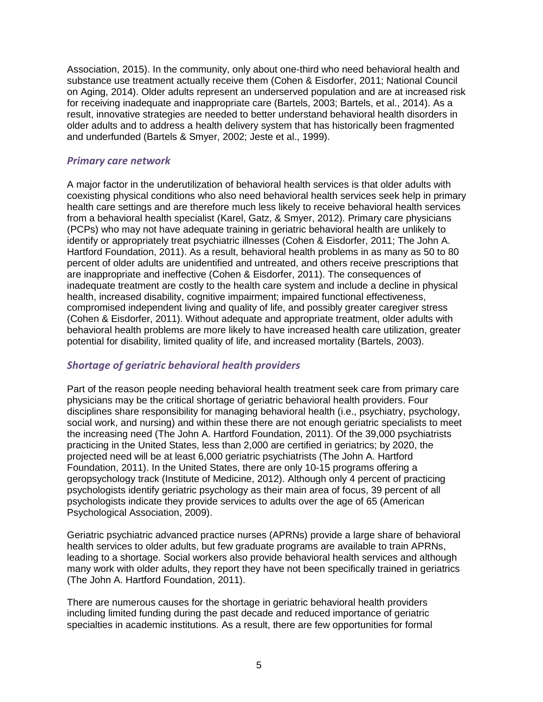Association, 2015). In the community, only about one-third who need behavioral health and substance use treatment actually receive them (Cohen & Eisdorfer, 2011; National Council on Aging, 2014). Older adults represent an underserved population and are at increased risk for receiving inadequate and inappropriate care (Bartels, 2003; Bartels, et al., 2014). As a result, innovative strategies are needed to better understand behavioral health disorders in older adults and to address a health delivery system that has historically been fragmented and underfunded (Bartels & Smyer, 2002; Jeste et al., 1999).

#### *Primary care network*

A major factor in the underutilization of behavioral health services is that older adults with coexisting physical conditions who also need behavioral health services seek help in primary health care settings and are therefore much less likely to receive behavioral health services from a behavioral health specialist (Karel, Gatz, & Smyer, 2012). Primary care physicians (PCPs) who may not have adequate training in geriatric behavioral health are unlikely to identify or appropriately treat psychiatric illnesses (Cohen & Eisdorfer, 2011; The John A. Hartford Foundation, 2011). As a result, behavioral health problems in as many as 50 to 80 percent of older adults are unidentified and untreated, and others receive prescriptions that are inappropriate and ineffective (Cohen & Eisdorfer, 2011). The consequences of inadequate treatment are costly to the health care system and include a decline in physical health, increased disability, cognitive impairment; impaired functional effectiveness, compromised independent living and quality of life, and possibly greater caregiver stress (Cohen & Eisdorfer, 2011). Without adequate and appropriate treatment, older adults with behavioral health problems are more likely to have increased health care utilization, greater potential for disability, limited quality of life, and increased mortality (Bartels, 2003).

# *Shortage of geriatric behavioral health providers*

Part of the reason people needing behavioral health treatment seek care from primary care physicians may be the critical shortage of geriatric behavioral health providers. Four disciplines share responsibility for managing behavioral health (i.e., psychiatry, psychology, social work, and nursing) and within these there are not enough geriatric specialists to meet the increasing need (The John A. Hartford Foundation, 2011). Of the 39,000 psychiatrists practicing in the United States, less than 2,000 are certified in geriatrics; by 2020, the projected need will be at least 6,000 geriatric psychiatrists (The John A. Hartford Foundation, 2011). In the United States, there are only 10-15 programs offering a geropsychology track (Institute of Medicine, 2012). Although only 4 percent of practicing psychologists identify geriatric psychology as their main area of focus, 39 percent of all psychologists indicate they provide services to adults over the age of 65 (American Psychological Association, 2009).

Geriatric psychiatric advanced practice nurses (APRNs) provide a large share of behavioral health services to older adults, but few graduate programs are available to train APRNs, leading to a shortage. Social workers also provide behavioral health services and although many work with older adults, they report they have not been specifically trained in geriatrics (The John A. Hartford Foundation, 2011).

There are numerous causes for the shortage in geriatric behavioral health providers including limited funding during the past decade and reduced importance of geriatric specialties in academic institutions. As a result, there are few opportunities for formal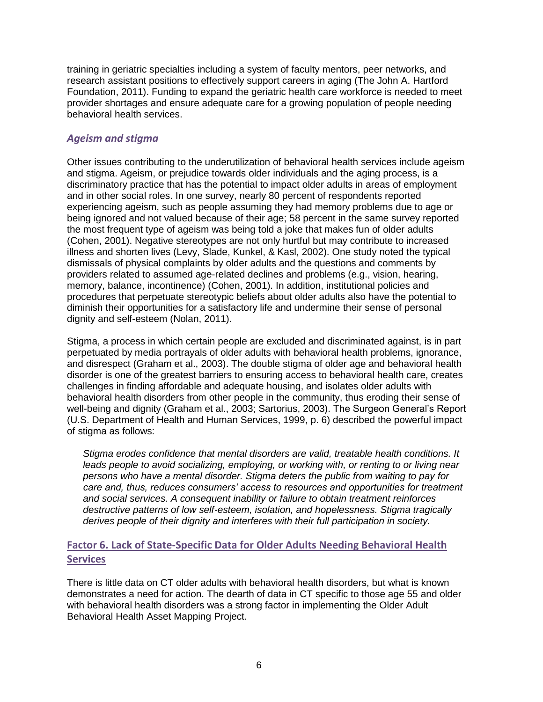training in geriatric specialties including a system of faculty mentors, peer networks, and research assistant positions to effectively support careers in aging (The John A. Hartford Foundation, 2011). Funding to expand the geriatric health care workforce is needed to meet provider shortages and ensure adequate care for a growing population of people needing behavioral health services.

# *Ageism and stigma*

Other issues contributing to the underutilization of behavioral health services include ageism and stigma. Ageism, or prejudice towards older individuals and the aging process, is a discriminatory practice that has the potential to impact older adults in areas of employment and in other social roles. In one survey, nearly 80 percent of respondents reported experiencing ageism, such as people assuming they had memory problems due to age or being ignored and not valued because of their age; 58 percent in the same survey reported the most frequent type of ageism was being told a joke that makes fun of older adults (Cohen, 2001). Negative stereotypes are not only hurtful but may contribute to increased illness and shorten lives (Levy, Slade, Kunkel, & Kasl, 2002). One study noted the typical dismissals of physical complaints by older adults and the questions and comments by providers related to assumed age-related declines and problems (e.g., vision, hearing, memory, balance, incontinence) (Cohen, 2001). In addition, institutional policies and procedures that perpetuate stereotypic beliefs about older adults also have the potential to diminish their opportunities for a satisfactory life and undermine their sense of personal dignity and self-esteem (Nolan, 2011).

Stigma, a process in which certain people are excluded and discriminated against, is in part perpetuated by media portrayals of older adults with behavioral health problems, ignorance, and disrespect (Graham et al., 2003). The double stigma of older age and behavioral health disorder is one of the greatest barriers to ensuring access to behavioral health care, creates challenges in finding affordable and adequate housing, and isolates older adults with behavioral health disorders from other people in the community, thus eroding their sense of well-being and dignity (Graham et al., 2003; Sartorius, 2003). The Surgeon General's Report (U.S. Department of Health and Human Services, 1999, p. 6) described the powerful impact of stigma as follows:

*Stigma erodes confidence that mental disorders are valid, treatable health conditions. It*  leads people to avoid socializing, employing, or working with, or renting to or living near *persons who have a mental disorder. Stigma deters the public from waiting to pay for care and, thus, reduces consumers' access to resources and opportunities for treatment and social services. A consequent inability or failure to obtain treatment reinforces destructive patterns of low self-esteem, isolation, and hopelessness. Stigma tragically derives people of their dignity and interferes with their full participation in society.*

# **Factor 6. Lack of State-Specific Data for Older Adults Needing Behavioral Health Services**

There is little data on CT older adults with behavioral health disorders, but what is known demonstrates a need for action. The dearth of data in CT specific to those age 55 and older with behavioral health disorders was a strong factor in implementing the Older Adult Behavioral Health Asset Mapping Project.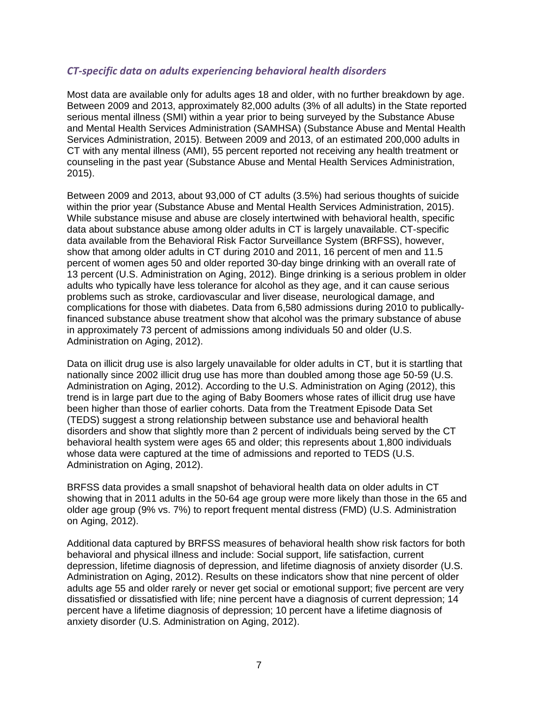#### *CT-specific data on adults experiencing behavioral health disorders*

Most data are available only for adults ages 18 and older, with no further breakdown by age. Between 2009 and 2013, approximately 82,000 adults (3% of all adults) in the State reported serious mental illness (SMI) within a year prior to being surveyed by the Substance Abuse and Mental Health Services Administration (SAMHSA) (Substance Abuse and Mental Health Services Administration, 2015). Between 2009 and 2013, of an estimated 200,000 adults in CT with any mental illness (AMI), 55 percent reported not receiving any health treatment or counseling in the past year (Substance Abuse and Mental Health Services Administration, 2015).

Between 2009 and 2013, about 93,000 of CT adults (3.5%) had serious thoughts of suicide within the prior year (Substance Abuse and Mental Health Services Administration, 2015). While substance misuse and abuse are closely intertwined with behavioral health, specific data about substance abuse among older adults in CT is largely unavailable. CT-specific data available from the Behavioral Risk Factor Surveillance System (BRFSS), however, show that among older adults in CT during 2010 and 2011, 16 percent of men and 11.5 percent of women ages 50 and older reported 30-day binge drinking with an overall rate of 13 percent (U.S. Administration on Aging, 2012). Binge drinking is a serious problem in older adults who typically have less tolerance for alcohol as they age, and it can cause serious problems such as stroke, cardiovascular and liver disease, neurological damage, and complications for those with diabetes. Data from 6,580 admissions during 2010 to publicallyfinanced substance abuse treatment show that alcohol was the primary substance of abuse in approximately 73 percent of admissions among individuals 50 and older (U.S. Administration on Aging, 2012).

Data on illicit drug use is also largely unavailable for older adults in CT, but it is startling that nationally since 2002 illicit drug use has more than doubled among those age 50-59 (U.S. Administration on Aging, 2012). According to the U.S. Administration on Aging (2012), this trend is in large part due to the aging of Baby Boomers whose rates of illicit drug use have been higher than those of earlier cohorts. Data from the Treatment Episode Data Set (TEDS) suggest a strong relationship between substance use and behavioral health disorders and show that slightly more than 2 percent of individuals being served by the CT behavioral health system were ages 65 and older; this represents about 1,800 individuals whose data were captured at the time of admissions and reported to TEDS (U.S. Administration on Aging, 2012).

BRFSS data provides a small snapshot of behavioral health data on older adults in CT showing that in 2011 adults in the 50-64 age group were more likely than those in the 65 and older age group (9% vs. 7%) to report frequent mental distress (FMD) (U.S. Administration on Aging, 2012).

Additional data captured by BRFSS measures of behavioral health show risk factors for both behavioral and physical illness and include: Social support, life satisfaction, current depression, lifetime diagnosis of depression, and lifetime diagnosis of anxiety disorder (U.S. Administration on Aging, 2012). Results on these indicators show that nine percent of older adults age 55 and older rarely or never get social or emotional support; five percent are very dissatisfied or dissatisfied with life; nine percent have a diagnosis of current depression; 14 percent have a lifetime diagnosis of depression; 10 percent have a lifetime diagnosis of anxiety disorder (U.S. Administration on Aging, 2012).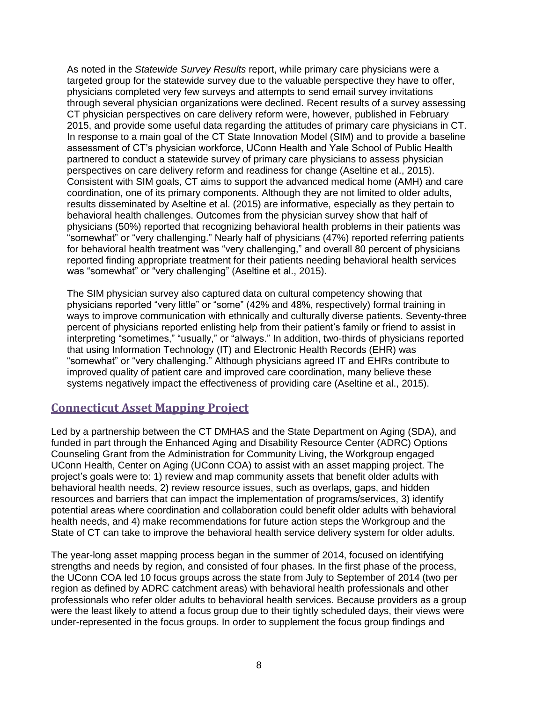As noted in the *Statewide Survey Results* report, while primary care physicians were a targeted group for the statewide survey due to the valuable perspective they have to offer, physicians completed very few surveys and attempts to send email survey invitations through several physician organizations were declined. Recent results of a survey assessing CT physician perspectives on care delivery reform were, however, published in February 2015, and provide some useful data regarding the attitudes of primary care physicians in CT. In response to a main goal of the CT State Innovation Model (SIM) and to provide a baseline assessment of CT's physician workforce, UConn Health and Yale School of Public Health partnered to conduct a statewide survey of primary care physicians to assess physician perspectives on care delivery reform and readiness for change (Aseltine et al., 2015). Consistent with SIM goals, CT aims to support the advanced medical home (AMH) and care coordination, one of its primary components. Although they are not limited to older adults, results disseminated by Aseltine et al. (2015) are informative, especially as they pertain to behavioral health challenges. Outcomes from the physician survey show that half of physicians (50%) reported that recognizing behavioral health problems in their patients was "somewhat" or "very challenging." Nearly half of physicians (47%) reported referring patients for behavioral health treatment was "very challenging," and overall 80 percent of physicians reported finding appropriate treatment for their patients needing behavioral health services was "somewhat" or "very challenging" (Aseltine et al., 2015).

The SIM physician survey also captured data on cultural competency showing that physicians reported "very little" or "some" (42% and 48%, respectively) formal training in ways to improve communication with ethnically and culturally diverse patients. Seventy-three percent of physicians reported enlisting help from their patient's family or friend to assist in interpreting "sometimes," "usually," or "always." In addition, two-thirds of physicians reported that using Information Technology (IT) and Electronic Health Records (EHR) was "somewhat" or "very challenging." Although physicians agreed IT and EHRs contribute to improved quality of patient care and improved care coordination, many believe these systems negatively impact the effectiveness of providing care (Aseltine et al., 2015).

# **Connecticut Asset Mapping Project**

Led by a partnership between the CT DMHAS and the State Department on Aging (SDA), and funded in part through the Enhanced Aging and Disability Resource Center (ADRC) Options Counseling Grant from the Administration for Community Living, the Workgroup engaged UConn Health, Center on Aging (UConn COA) to assist with an asset mapping project. The project's goals were to: 1) review and map community assets that benefit older adults with behavioral health needs, 2) review resource issues, such as overlaps, gaps, and hidden resources and barriers that can impact the implementation of programs/services, 3) identify potential areas where coordination and collaboration could benefit older adults with behavioral health needs, and 4) make recommendations for future action steps the Workgroup and the State of CT can take to improve the behavioral health service delivery system for older adults.

The year-long asset mapping process began in the summer of 2014, focused on identifying strengths and needs by region, and consisted of four phases. In the first phase of the process, the UConn COA led 10 focus groups across the state from July to September of 2014 (two per region as defined by ADRC catchment areas) with behavioral health professionals and other professionals who refer older adults to behavioral health services. Because providers as a group were the least likely to attend a focus group due to their tightly scheduled days, their views were under-represented in the focus groups. In order to supplement the focus group findings and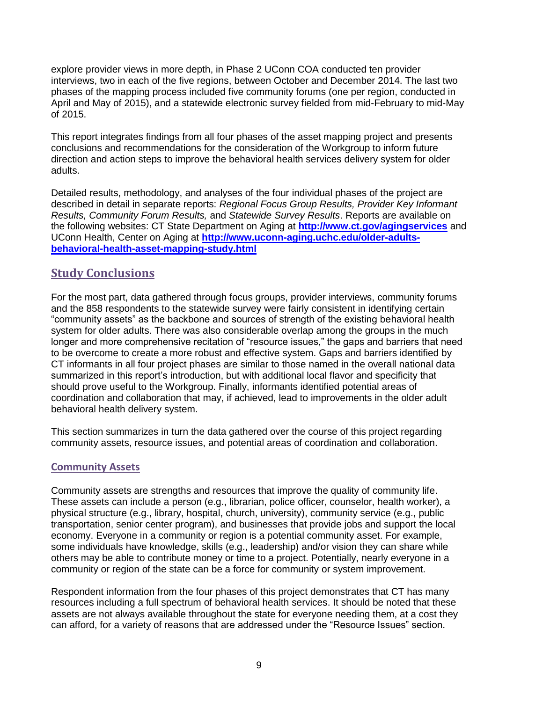explore provider views in more depth, in Phase 2 UConn COA conducted ten provider interviews, two in each of the five regions, between October and December 2014. The last two phases of the mapping process included five community forums (one per region, conducted in April and May of 2015), and a statewide electronic survey fielded from mid-February to mid-May of 2015.

This report integrates findings from all four phases of the asset mapping project and presents conclusions and recommendations for the consideration of the Workgroup to inform future direction and action steps to improve the behavioral health services delivery system for older adults.

Detailed results, methodology, and analyses of the four individual phases of the project are described in detail in separate reports: *Regional Focus Group Results, Provider Key Informant Results, Community Forum Results,* and *Statewide Survey Results*. Reports are available on the following websites: CT State Department on Aging at **<http://www.ct.gov/agingservices>** and UConn Health, Center on Aging at **[http://www.uconn-aging.uchc.edu/older-adults](http://www.uconn-aging.uchc.edu/older-adults-behavioral-health-asset-mapping-study.html)[behavioral-health-asset-mapping-study.html](http://www.uconn-aging.uchc.edu/older-adults-behavioral-health-asset-mapping-study.html)**

# **Study Conclusions**

For the most part, data gathered through focus groups, provider interviews, community forums and the 858 respondents to the statewide survey were fairly consistent in identifying certain "community assets" as the backbone and sources of strength of the existing behavioral health system for older adults. There was also considerable overlap among the groups in the much longer and more comprehensive recitation of "resource issues," the gaps and barriers that need to be overcome to create a more robust and effective system. Gaps and barriers identified by CT informants in all four project phases are similar to those named in the overall national data summarized in this report's introduction, but with additional local flavor and specificity that should prove useful to the Workgroup. Finally, informants identified potential areas of coordination and collaboration that may, if achieved, lead to improvements in the older adult behavioral health delivery system.

This section summarizes in turn the data gathered over the course of this project regarding community assets, resource issues, and potential areas of coordination and collaboration.

# **Community Assets**

Community assets are strengths and resources that improve the quality of community life. These assets can include a person (e.g., librarian, police officer, counselor, health worker), a physical structure (e.g., library, hospital, church, university), community service (e.g., public transportation, senior center program), and businesses that provide jobs and support the local economy. Everyone in a community or region is a potential community asset. For example, some individuals have knowledge, skills (e.g., leadership) and/or vision they can share while others may be able to contribute money or time to a project. Potentially, nearly everyone in a community or region of the state can be a force for community or system improvement.

Respondent information from the four phases of this project demonstrates that CT has many resources including a full spectrum of behavioral health services. It should be noted that these assets are not always available throughout the state for everyone needing them, at a cost they can afford, for a variety of reasons that are addressed under the "Resource Issues" section.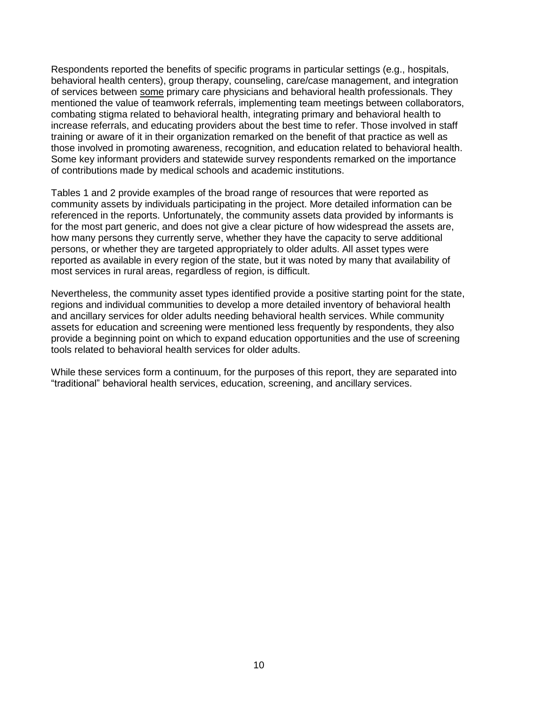Respondents reported the benefits of specific programs in particular settings (e.g., hospitals, behavioral health centers), group therapy, counseling, care/case management, and integration of services between some primary care physicians and behavioral health professionals. They mentioned the value of teamwork referrals, implementing team meetings between collaborators, combating stigma related to behavioral health, integrating primary and behavioral health to increase referrals, and educating providers about the best time to refer. Those involved in staff training or aware of it in their organization remarked on the benefit of that practice as well as those involved in promoting awareness, recognition, and education related to behavioral health. Some key informant providers and statewide survey respondents remarked on the importance of contributions made by medical schools and academic institutions.

Tables 1 and 2 provide examples of the broad range of resources that were reported as community assets by individuals participating in the project. More detailed information can be referenced in the reports. Unfortunately, the community assets data provided by informants is for the most part generic, and does not give a clear picture of how widespread the assets are, how many persons they currently serve, whether they have the capacity to serve additional persons, or whether they are targeted appropriately to older adults. All asset types were reported as available in every region of the state, but it was noted by many that availability of most services in rural areas, regardless of region, is difficult.

Nevertheless, the community asset types identified provide a positive starting point for the state, regions and individual communities to develop a more detailed inventory of behavioral health and ancillary services for older adults needing behavioral health services. While community assets for education and screening were mentioned less frequently by respondents, they also provide a beginning point on which to expand education opportunities and the use of screening tools related to behavioral health services for older adults.

While these services form a continuum, for the purposes of this report, they are separated into "traditional" behavioral health services, education, screening, and ancillary services.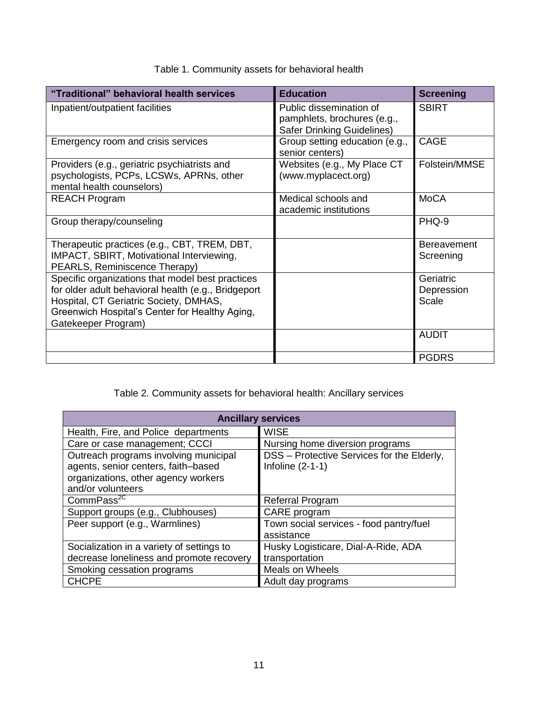| "Traditional" behavioral health services                                                                                                                                                                                   | <b>Education</b>                                                                     | <b>Screening</b>                 |
|----------------------------------------------------------------------------------------------------------------------------------------------------------------------------------------------------------------------------|--------------------------------------------------------------------------------------|----------------------------------|
| Inpatient/outpatient facilities                                                                                                                                                                                            | Public dissemination of<br>pamphlets, brochures (e.g.,<br>Safer Drinking Guidelines) | <b>SBIRT</b>                     |
| Emergency room and crisis services                                                                                                                                                                                         | Group setting education (e.g.,<br>senior centers)                                    | <b>CAGE</b>                      |
| Providers (e.g., geriatric psychiatrists and<br>psychologists, PCPs, LCSWs, APRNs, other<br>mental health counselors)                                                                                                      | Websites (e.g., My Place CT<br>(www.myplacect.org)                                   | Folstein/MMSE                    |
| <b>REACH Program</b>                                                                                                                                                                                                       | Medical schools and<br>academic institutions                                         | <b>MoCA</b>                      |
| Group therapy/counseling                                                                                                                                                                                                   |                                                                                      | PHQ-9                            |
| Therapeutic practices (e.g., CBT, TREM, DBT,<br>IMPACT, SBIRT, Motivational Interviewing,<br>PEARLS, Reminiscence Therapy)                                                                                                 |                                                                                      | <b>Bereavement</b><br>Screening  |
| Specific organizations that model best practices<br>for older adult behavioral health (e.g., Bridgeport<br>Hospital, CT Geriatric Society, DMHAS,<br>Greenwich Hospital's Center for Healthy Aging,<br>Gatekeeper Program) |                                                                                      | Geriatric<br>Depression<br>Scale |
|                                                                                                                                                                                                                            |                                                                                      | <b>AUDIT</b>                     |
|                                                                                                                                                                                                                            |                                                                                      | <b>PGDRS</b>                     |

# Table 1. Community assets for behavioral health

Table 2. Community assets for behavioral health: Ancillary services

| <b>Ancillary services</b>                 |                                            |  |  |
|-------------------------------------------|--------------------------------------------|--|--|
| Health, Fire, and Police departments      | <b>WISE</b>                                |  |  |
| Care or case management; CCCI             | Nursing home diversion programs            |  |  |
| Outreach programs involving municipal     | DSS - Protective Services for the Elderly, |  |  |
| agents, senior centers, faith-based       | Infoline $(2-1-1)$                         |  |  |
| organizations, other agency workers       |                                            |  |  |
| and/or volunteers                         |                                            |  |  |
| CommPass <sup>2C</sup>                    | <b>Referral Program</b>                    |  |  |
| Support groups (e.g., Clubhouses)         | CARE program                               |  |  |
| Peer support (e.g., Warmlines)            | Town social services - food pantry/fuel    |  |  |
|                                           | assistance                                 |  |  |
| Socialization in a variety of settings to | Husky Logisticare, Dial-A-Ride, ADA        |  |  |
| decrease loneliness and promote recovery  | transportation                             |  |  |
| Smoking cessation programs                | Meals on Wheels                            |  |  |
| <b>CHCPE</b>                              | Adult day programs                         |  |  |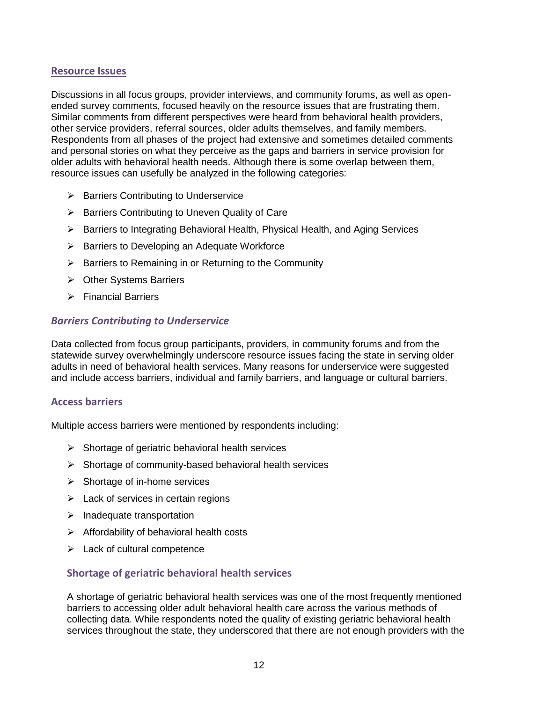#### **Resource Issues**

Discussions in all focus groups, provider interviews, and community forums, as well as openended survey comments, focused heavily on the resource issues that are frustrating them. Similar comments from different perspectives were heard from behavioral health providers, other service providers, referral sources, older adults themselves, and family members. Respondents from all phases of the project had extensive and sometimes detailed comments and personal stories on what they perceive as the gaps and barriers in service provision for older adults with behavioral health needs. Although there is some overlap between them, resource issues can usefully be analyzed in the following categories:

- $\triangleright$  Barriers Contributing to Underservice
- $\triangleright$  Barriers Contributing to Uneven Quality of Care
- ▶ Barriers to Integrating Behavioral Health, Physical Health, and Aging Services
- $\triangleright$  Barriers to Developing an Adequate Workforce
- $\triangleright$  Barriers to Remaining in or Returning to the Community
- **▶ Other Systems Barriers**
- $\triangleright$  Financial Barriers

#### *Barriers Contributing to Underservice*

Data collected from focus group participants, providers, in community forums and from the statewide survey overwhelmingly underscore resource issues facing the state in serving older adults in need of behavioral health services. Many reasons for underservice were suggested and include access barriers, individual and family barriers, and language or cultural barriers.

#### **Access barriers**

Multiple access barriers were mentioned by respondents including:

- $\triangleright$  Shortage of geriatric behavioral health services
- $\triangleright$  Shortage of community-based behavioral health services
- $\triangleright$  Shortage of in-home services
- $\triangleright$  Lack of services in certain regions
- $\triangleright$  Inadequate transportation
- $\triangleright$  Affordability of behavioral health costs
- $\triangleright$  Lack of cultural competence

#### **Shortage of geriatric behavioral health services**

A shortage of geriatric behavioral health services was one of the most frequently mentioned barriers to accessing older adult behavioral health care across the various methods of collecting data. While respondents noted the quality of existing geriatric behavioral health services throughout the state, they underscored that there are not enough providers with the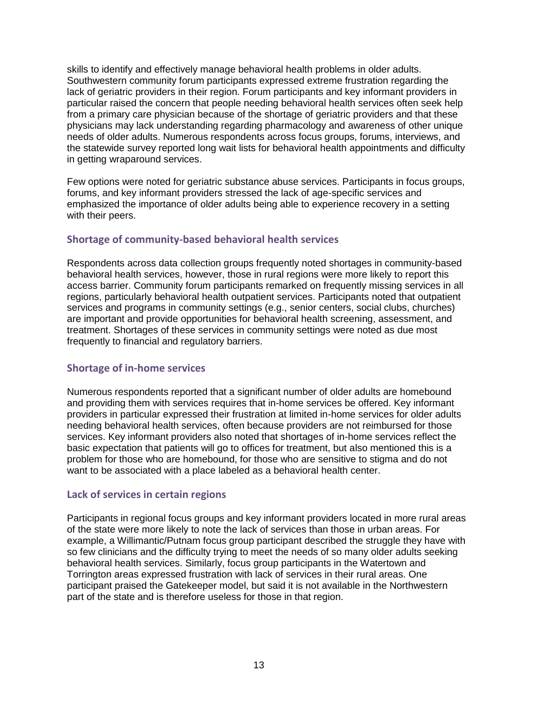skills to identify and effectively manage behavioral health problems in older adults. Southwestern community forum participants expressed extreme frustration regarding the lack of geriatric providers in their region. Forum participants and key informant providers in particular raised the concern that people needing behavioral health services often seek help from a primary care physician because of the shortage of geriatric providers and that these physicians may lack understanding regarding pharmacology and awareness of other unique needs of older adults. Numerous respondents across focus groups, forums, interviews, and the statewide survey reported long wait lists for behavioral health appointments and difficulty in getting wraparound services.

Few options were noted for geriatric substance abuse services. Participants in focus groups, forums, and key informant providers stressed the lack of age-specific services and emphasized the importance of older adults being able to experience recovery in a setting with their peers.

# **Shortage of community-based behavioral health services**

Respondents across data collection groups frequently noted shortages in community-based behavioral health services, however, those in rural regions were more likely to report this access barrier. Community forum participants remarked on frequently missing services in all regions, particularly behavioral health outpatient services. Participants noted that outpatient services and programs in community settings (e.g., senior centers, social clubs, churches) are important and provide opportunities for behavioral health screening, assessment, and treatment. Shortages of these services in community settings were noted as due most frequently to financial and regulatory barriers.

#### **Shortage of in-home services**

Numerous respondents reported that a significant number of older adults are homebound and providing them with services requires that in-home services be offered. Key informant providers in particular expressed their frustration at limited in-home services for older adults needing behavioral health services, often because providers are not reimbursed for those services. Key informant providers also noted that shortages of in-home services reflect the basic expectation that patients will go to offices for treatment, but also mentioned this is a problem for those who are homebound, for those who are sensitive to stigma and do not want to be associated with a place labeled as a behavioral health center.

#### **Lack of services in certain regions**

Participants in regional focus groups and key informant providers located in more rural areas of the state were more likely to note the lack of services than those in urban areas. For example, a Willimantic/Putnam focus group participant described the struggle they have with so few clinicians and the difficulty trying to meet the needs of so many older adults seeking behavioral health services. Similarly, focus group participants in the Watertown and Torrington areas expressed frustration with lack of services in their rural areas. One participant praised the Gatekeeper model, but said it is not available in the Northwestern part of the state and is therefore useless for those in that region.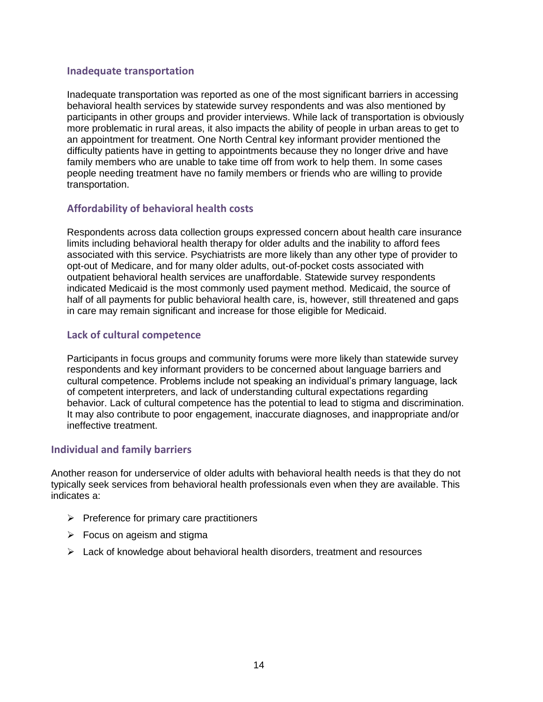#### **Inadequate transportation**

Inadequate transportation was reported as one of the most significant barriers in accessing behavioral health services by statewide survey respondents and was also mentioned by participants in other groups and provider interviews. While lack of transportation is obviously more problematic in rural areas, it also impacts the ability of people in urban areas to get to an appointment for treatment. One North Central key informant provider mentioned the difficulty patients have in getting to appointments because they no longer drive and have family members who are unable to take time off from work to help them. In some cases people needing treatment have no family members or friends who are willing to provide transportation.

#### **Affordability of behavioral health costs**

Respondents across data collection groups expressed concern about health care insurance limits including behavioral health therapy for older adults and the inability to afford fees associated with this service. Psychiatrists are more likely than any other type of provider to opt-out of Medicare, and for many older adults, out-of-pocket costs associated with outpatient behavioral health services are unaffordable. Statewide survey respondents indicated Medicaid is the most commonly used payment method. Medicaid, the source of half of all payments for public behavioral health care, is, however, still threatened and gaps in care may remain significant and increase for those eligible for Medicaid.

#### **Lack of cultural competence**

Participants in focus groups and community forums were more likely than statewide survey respondents and key informant providers to be concerned about language barriers and cultural competence. Problems include not speaking an individual's primary language, lack of competent interpreters, and lack of understanding cultural expectations regarding behavior. Lack of cultural competence has the potential to lead to stigma and discrimination. It may also contribute to poor engagement, inaccurate diagnoses, and inappropriate and/or ineffective treatment.

#### **Individual and family barriers**

Another reason for underservice of older adults with behavioral health needs is that they do not typically seek services from behavioral health professionals even when they are available. This indicates a:

- $\triangleright$  Preference for primary care practitioners
- $\triangleright$  Focus on ageism and stigma
- $\triangleright$  Lack of knowledge about behavioral health disorders, treatment and resources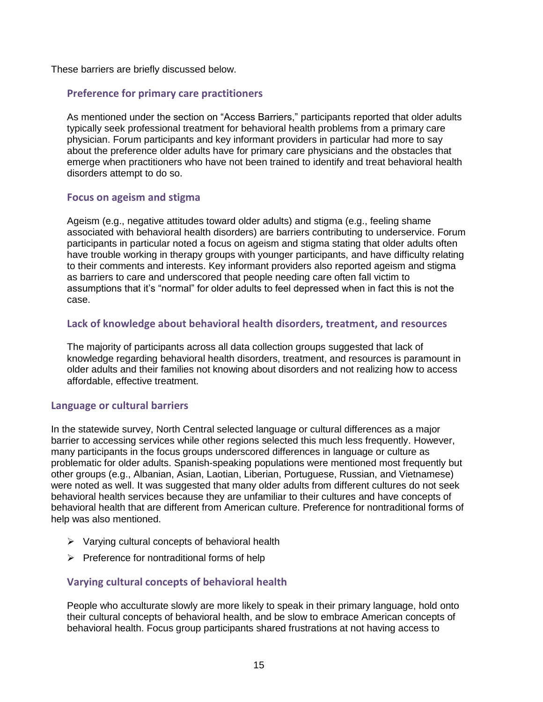These barriers are briefly discussed below.

#### **Preference for primary care practitioners**

As mentioned under the section on "Access Barriers," participants reported that older adults typically seek professional treatment for behavioral health problems from a primary care physician. Forum participants and key informant providers in particular had more to say about the preference older adults have for primary care physicians and the obstacles that emerge when practitioners who have not been trained to identify and treat behavioral health disorders attempt to do so.

#### **Focus on ageism and stigma**

Ageism (e.g., negative attitudes toward older adults) and stigma (e.g., feeling shame associated with behavioral health disorders) are barriers contributing to underservice. Forum participants in particular noted a focus on ageism and stigma stating that older adults often have trouble working in therapy groups with younger participants, and have difficulty relating to their comments and interests. Key informant providers also reported ageism and stigma as barriers to care and underscored that people needing care often fall victim to assumptions that it's "normal" for older adults to feel depressed when in fact this is not the case.

#### **Lack of knowledge about behavioral health disorders, treatment, and resources**

The majority of participants across all data collection groups suggested that lack of knowledge regarding behavioral health disorders, treatment, and resources is paramount in older adults and their families not knowing about disorders and not realizing how to access affordable, effective treatment.

# **Language or cultural barriers**

In the statewide survey, North Central selected language or cultural differences as a major barrier to accessing services while other regions selected this much less frequently. However, many participants in the focus groups underscored differences in language or culture as problematic for older adults. Spanish-speaking populations were mentioned most frequently but other groups (e.g., Albanian, Asian, Laotian, Liberian, Portuguese, Russian, and Vietnamese) were noted as well. It was suggested that many older adults from different cultures do not seek behavioral health services because they are unfamiliar to their cultures and have concepts of behavioral health that are different from American culture. Preference for nontraditional forms of help was also mentioned.

- $\triangleright$  Varying cultural concepts of behavioral health
- $\triangleright$  Preference for nontraditional forms of help

# **Varying cultural concepts of behavioral health**

People who acculturate slowly are more likely to speak in their primary language, hold onto their cultural concepts of behavioral health, and be slow to embrace American concepts of behavioral health. Focus group participants shared frustrations at not having access to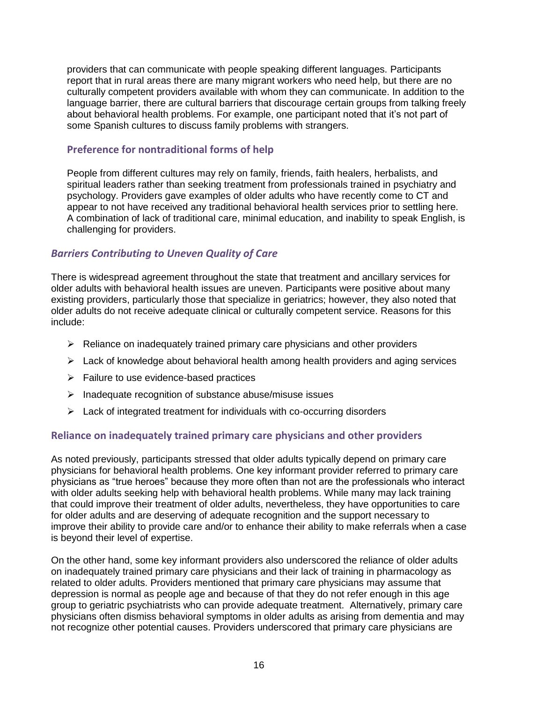providers that can communicate with people speaking different languages. Participants report that in rural areas there are many migrant workers who need help, but there are no culturally competent providers available with whom they can communicate. In addition to the language barrier, there are cultural barriers that discourage certain groups from talking freely about behavioral health problems. For example, one participant noted that it's not part of some Spanish cultures to discuss family problems with strangers.

### **Preference for nontraditional forms of help**

People from different cultures may rely on family, friends, faith healers, herbalists, and spiritual leaders rather than seeking treatment from professionals trained in psychiatry and psychology. Providers gave examples of older adults who have recently come to CT and appear to not have received any traditional behavioral health services prior to settling here. A combination of lack of traditional care, minimal education, and inability to speak English, is challenging for providers.

# *Barriers Contributing to Uneven Quality of Care*

There is widespread agreement throughout the state that treatment and ancillary services for older adults with behavioral health issues are uneven. Participants were positive about many existing providers, particularly those that specialize in geriatrics; however, they also noted that older adults do not receive adequate clinical or culturally competent service. Reasons for this include:

- $\triangleright$  Reliance on inadequately trained primary care physicians and other providers
- $\triangleright$  Lack of knowledge about behavioral health among health providers and aging services
- $\triangleright$  Failure to use evidence-based practices
- $\triangleright$  Inadequate recognition of substance abuse/misuse issues
- $\triangleright$  Lack of integrated treatment for individuals with co-occurring disorders

# **Reliance on inadequately trained primary care physicians and other providers**

As noted previously, participants stressed that older adults typically depend on primary care physicians for behavioral health problems. One key informant provider referred to primary care physicians as "true heroes" because they more often than not are the professionals who interact with older adults seeking help with behavioral health problems. While many may lack training that could improve their treatment of older adults, nevertheless, they have opportunities to care for older adults and are deserving of adequate recognition and the support necessary to improve their ability to provide care and/or to enhance their ability to make referrals when a case is beyond their level of expertise.

On the other hand, some key informant providers also underscored the reliance of older adults on inadequately trained primary care physicians and their lack of training in pharmacology as related to older adults. Providers mentioned that primary care physicians may assume that depression is normal as people age and because of that they do not refer enough in this age group to geriatric psychiatrists who can provide adequate treatment. Alternatively, primary care physicians often dismiss behavioral symptoms in older adults as arising from dementia and may not recognize other potential causes. Providers underscored that primary care physicians are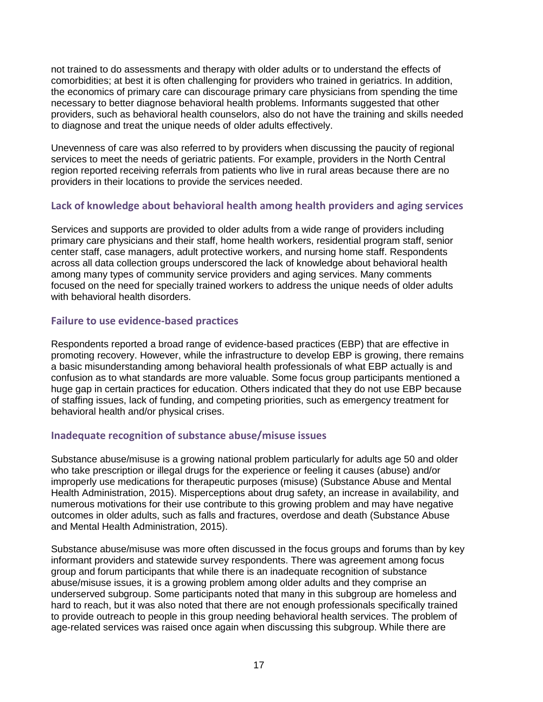not trained to do assessments and therapy with older adults or to understand the effects of comorbidities; at best it is often challenging for providers who trained in geriatrics. In addition, the economics of primary care can discourage primary care physicians from spending the time necessary to better diagnose behavioral health problems. Informants suggested that other providers, such as behavioral health counselors, also do not have the training and skills needed to diagnose and treat the unique needs of older adults effectively.

Unevenness of care was also referred to by providers when discussing the paucity of regional services to meet the needs of geriatric patients. For example, providers in the North Central region reported receiving referrals from patients who live in rural areas because there are no providers in their locations to provide the services needed.

# **Lack of knowledge about behavioral health among health providers and aging services**

Services and supports are provided to older adults from a wide range of providers including primary care physicians and their staff, home health workers, residential program staff, senior center staff, case managers, adult protective workers, and nursing home staff. Respondents across all data collection groups underscored the lack of knowledge about behavioral health among many types of community service providers and aging services. Many comments focused on the need for specially trained workers to address the unique needs of older adults with behavioral health disorders.

# **Failure to use evidence-based practices**

Respondents reported a broad range of evidence-based practices (EBP) that are effective in promoting recovery. However, while the infrastructure to develop EBP is growing, there remains a basic misunderstanding among behavioral health professionals of what EBP actually is and confusion as to what standards are more valuable. Some focus group participants mentioned a huge gap in certain practices for education. Others indicated that they do not use EBP because of staffing issues, lack of funding, and competing priorities, such as emergency treatment for behavioral health and/or physical crises.

# **Inadequate recognition of substance abuse/misuse issues**

Substance abuse/misuse is a growing national problem particularly for adults age 50 and older who take prescription or illegal drugs for the experience or feeling it causes (abuse) and/or improperly use medications for therapeutic purposes (misuse) (Substance Abuse and Mental Health Administration, 2015). Misperceptions about drug safety, an increase in availability, and numerous motivations for their use contribute to this growing problem and may have negative outcomes in older adults, such as falls and fractures, overdose and death (Substance Abuse and Mental Health Administration, 2015).

Substance abuse/misuse was more often discussed in the focus groups and forums than by key informant providers and statewide survey respondents. There was agreement among focus group and forum participants that while there is an inadequate recognition of substance abuse/misuse issues, it is a growing problem among older adults and they comprise an underserved subgroup. Some participants noted that many in this subgroup are homeless and hard to reach, but it was also noted that there are not enough professionals specifically trained to provide outreach to people in this group needing behavioral health services. The problem of age-related services was raised once again when discussing this subgroup. While there are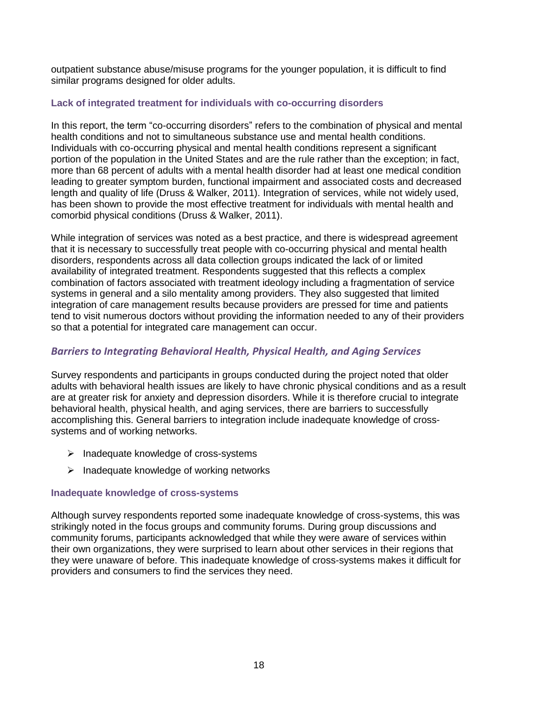outpatient substance abuse/misuse programs for the younger population, it is difficult to find similar programs designed for older adults.

#### **Lack of integrated treatment for individuals with co-occurring disorders**

In this report, the term "co-occurring disorders" refers to the combination of physical and mental health conditions and not to simultaneous substance use and mental health conditions. Individuals with co-occurring physical and mental health conditions represent a significant portion of the population in the United States and are the rule rather than the exception; in fact, more than 68 percent of adults with a mental health disorder had at least one medical condition leading to greater symptom burden, functional impairment and associated costs and decreased length and quality of life (Druss & Walker, 2011). Integration of services, while not widely used, has been shown to provide the most effective treatment for individuals with mental health and comorbid physical conditions (Druss & Walker, 2011).

While integration of services was noted as a best practice, and there is widespread agreement that it is necessary to successfully treat people with co-occurring physical and mental health disorders, respondents across all data collection groups indicated the lack of or limited availability of integrated treatment. Respondents suggested that this reflects a complex combination of factors associated with treatment ideology including a fragmentation of service systems in general and a silo mentality among providers. They also suggested that limited integration of care management results because providers are pressed for time and patients tend to visit numerous doctors without providing the information needed to any of their providers so that a potential for integrated care management can occur.

# *Barriers to Integrating Behavioral Health, Physical Health, and Aging Services*

Survey respondents and participants in groups conducted during the project noted that older adults with behavioral health issues are likely to have chronic physical conditions and as a result are at greater risk for anxiety and depression disorders. While it is therefore crucial to integrate behavioral health, physical health, and aging services, there are barriers to successfully accomplishing this. General barriers to integration include inadequate knowledge of crosssystems and of working networks.

- $\triangleright$  Inadequate knowledge of cross-systems
- $\triangleright$  Inadequate knowledge of working networks

# **Inadequate knowledge of cross-systems**

Although survey respondents reported some inadequate knowledge of cross-systems, this was strikingly noted in the focus groups and community forums. During group discussions and community forums, participants acknowledged that while they were aware of services within their own organizations, they were surprised to learn about other services in their regions that they were unaware of before. This inadequate knowledge of cross-systems makes it difficult for providers and consumers to find the services they need.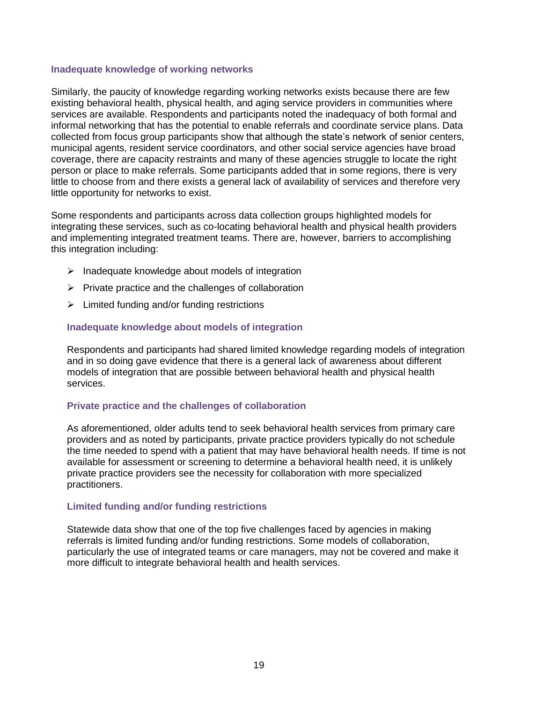#### **Inadequate knowledge of working networks**

Similarly, the paucity of knowledge regarding working networks exists because there are few existing behavioral health, physical health, and aging service providers in communities where services are available. Respondents and participants noted the inadequacy of both formal and informal networking that has the potential to enable referrals and coordinate service plans. Data collected from focus group participants show that although the state's network of senior centers, municipal agents, resident service coordinators, and other social service agencies have broad coverage, there are capacity restraints and many of these agencies struggle to locate the right person or place to make referrals. Some participants added that in some regions, there is very little to choose from and there exists a general lack of availability of services and therefore very little opportunity for networks to exist.

Some respondents and participants across data collection groups highlighted models for integrating these services, such as co-locating behavioral health and physical health providers and implementing integrated treatment teams. There are, however, barriers to accomplishing this integration including:

- $\triangleright$  Inadequate knowledge about models of integration
- $\triangleright$  Private practice and the challenges of collaboration
- $\triangleright$  Limited funding and/or funding restrictions

#### **Inadequate knowledge about models of integration**

Respondents and participants had shared limited knowledge regarding models of integration and in so doing gave evidence that there is a general lack of awareness about different models of integration that are possible between behavioral health and physical health services.

#### **Private practice and the challenges of collaboration**

As aforementioned, older adults tend to seek behavioral health services from primary care providers and as noted by participants, private practice providers typically do not schedule the time needed to spend with a patient that may have behavioral health needs. If time is not available for assessment or screening to determine a behavioral health need, it is unlikely private practice providers see the necessity for collaboration with more specialized practitioners.

#### **Limited funding and/or funding restrictions**

Statewide data show that one of the top five challenges faced by agencies in making referrals is limited funding and/or funding restrictions. Some models of collaboration, particularly the use of integrated teams or care managers, may not be covered and make it more difficult to integrate behavioral health and health services.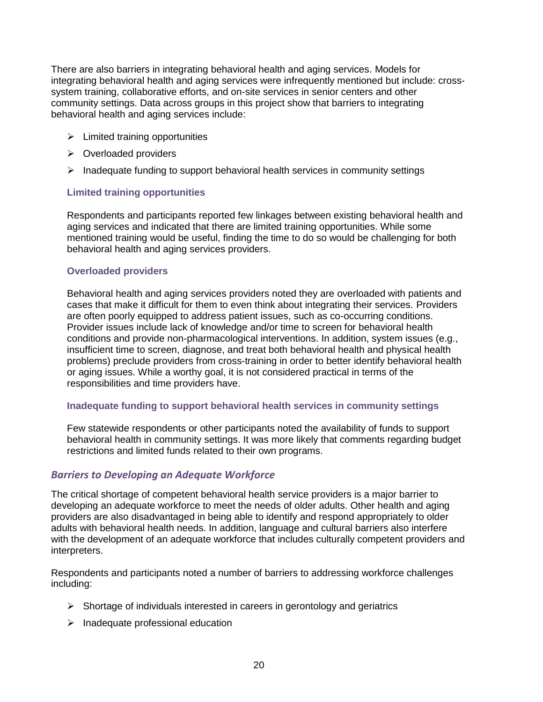There are also barriers in integrating behavioral health and aging services. Models for integrating behavioral health and aging services were infrequently mentioned but include: crosssystem training, collaborative efforts, and on-site services in senior centers and other community settings. Data across groups in this project show that barriers to integrating behavioral health and aging services include:

- $\triangleright$  Limited training opportunities
- $\triangleright$  Overloaded providers
- $\triangleright$  Inadequate funding to support behavioral health services in community settings

#### **Limited training opportunities**

Respondents and participants reported few linkages between existing behavioral health and aging services and indicated that there are limited training opportunities. While some mentioned training would be useful, finding the time to do so would be challenging for both behavioral health and aging services providers.

#### **Overloaded providers**

Behavioral health and aging services providers noted they are overloaded with patients and cases that make it difficult for them to even think about integrating their services. Providers are often poorly equipped to address patient issues, such as co-occurring conditions. Provider issues include lack of knowledge and/or time to screen for behavioral health conditions and provide non-pharmacological interventions. In addition, system issues (e.g., insufficient time to screen, diagnose, and treat both behavioral health and physical health problems) preclude providers from cross-training in order to better identify behavioral health or aging issues. While a worthy goal, it is not considered practical in terms of the responsibilities and time providers have.

#### **Inadequate funding to support behavioral health services in community settings**

Few statewide respondents or other participants noted the availability of funds to support behavioral health in community settings. It was more likely that comments regarding budget restrictions and limited funds related to their own programs.

# *Barriers to Developing an Adequate Workforce*

The critical shortage of competent behavioral health service providers is a major barrier to developing an adequate workforce to meet the needs of older adults. Other health and aging providers are also disadvantaged in being able to identify and respond appropriately to older adults with behavioral health needs. In addition, language and cultural barriers also interfere with the development of an adequate workforce that includes culturally competent providers and interpreters.

Respondents and participants noted a number of barriers to addressing workforce challenges including:

- $\triangleright$  Shortage of individuals interested in careers in gerontology and geriatrics
- $\triangleright$  Inadequate professional education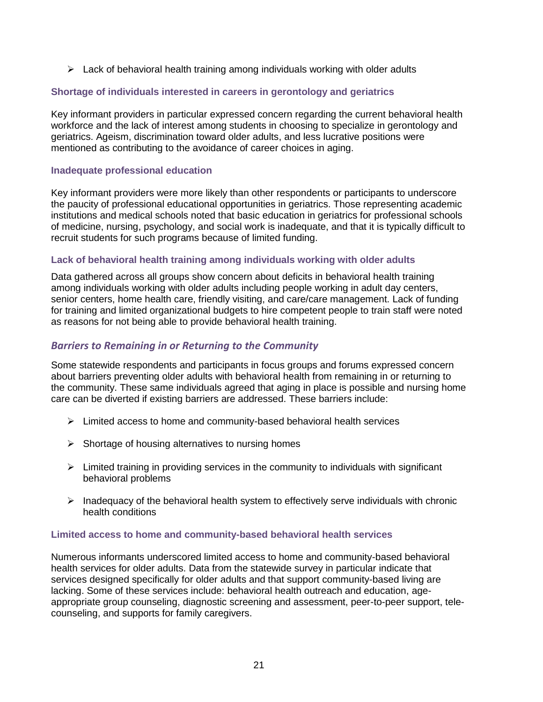$\triangleright$  Lack of behavioral health training among individuals working with older adults

#### **Shortage of individuals interested in careers in gerontology and geriatrics**

Key informant providers in particular expressed concern regarding the current behavioral health workforce and the lack of interest among students in choosing to specialize in gerontology and geriatrics. Ageism, discrimination toward older adults, and less lucrative positions were mentioned as contributing to the avoidance of career choices in aging.

#### **Inadequate professional education**

Key informant providers were more likely than other respondents or participants to underscore the paucity of professional educational opportunities in geriatrics. Those representing academic institutions and medical schools noted that basic education in geriatrics for professional schools of medicine, nursing, psychology, and social work is inadequate, and that it is typically difficult to recruit students for such programs because of limited funding.

#### **Lack of behavioral health training among individuals working with older adults**

Data gathered across all groups show concern about deficits in behavioral health training among individuals working with older adults including people working in adult day centers, senior centers, home health care, friendly visiting, and care/care management. Lack of funding for training and limited organizational budgets to hire competent people to train staff were noted as reasons for not being able to provide behavioral health training.

### *Barriers to Remaining in or Returning to the Community*

Some statewide respondents and participants in focus groups and forums expressed concern about barriers preventing older adults with behavioral health from remaining in or returning to the community. These same individuals agreed that aging in place is possible and nursing home care can be diverted if existing barriers are addressed. These barriers include:

- $\triangleright$  Limited access to home and community-based behavioral health services
- $\triangleright$  Shortage of housing alternatives to nursing homes
- $\triangleright$  Limited training in providing services in the community to individuals with significant behavioral problems
- $\triangleright$  Inadequacy of the behavioral health system to effectively serve individuals with chronic health conditions

#### **Limited access to home and community-based behavioral health services**

Numerous informants underscored limited access to home and community-based behavioral health services for older adults. Data from the statewide survey in particular indicate that services designed specifically for older adults and that support community-based living are lacking. Some of these services include: behavioral health outreach and education, ageappropriate group counseling, diagnostic screening and assessment, peer-to-peer support, telecounseling, and supports for family caregivers.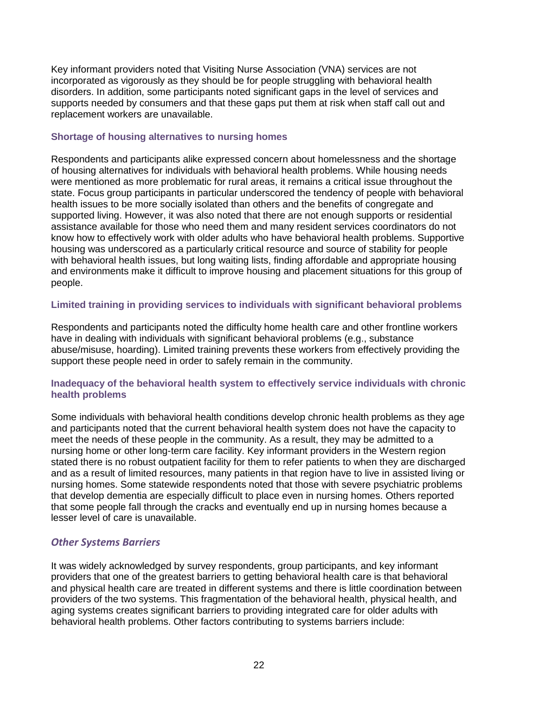Key informant providers noted that Visiting Nurse Association (VNA) services are not incorporated as vigorously as they should be for people struggling with behavioral health disorders. In addition, some participants noted significant gaps in the level of services and supports needed by consumers and that these gaps put them at risk when staff call out and replacement workers are unavailable.

#### **Shortage of housing alternatives to nursing homes**

Respondents and participants alike expressed concern about homelessness and the shortage of housing alternatives for individuals with behavioral health problems. While housing needs were mentioned as more problematic for rural areas, it remains a critical issue throughout the state. Focus group participants in particular underscored the tendency of people with behavioral health issues to be more socially isolated than others and the benefits of congregate and supported living. However, it was also noted that there are not enough supports or residential assistance available for those who need them and many resident services coordinators do not know how to effectively work with older adults who have behavioral health problems. Supportive housing was underscored as a particularly critical resource and source of stability for people with behavioral health issues, but long waiting lists, finding affordable and appropriate housing and environments make it difficult to improve housing and placement situations for this group of people.

#### **Limited training in providing services to individuals with significant behavioral problems**

Respondents and participants noted the difficulty home health care and other frontline workers have in dealing with individuals with significant behavioral problems (e.g., substance abuse/misuse, hoarding). Limited training prevents these workers from effectively providing the support these people need in order to safely remain in the community.

#### **Inadequacy of the behavioral health system to effectively service individuals with chronic health problems**

Some individuals with behavioral health conditions develop chronic health problems as they age and participants noted that the current behavioral health system does not have the capacity to meet the needs of these people in the community. As a result, they may be admitted to a nursing home or other long-term care facility. Key informant providers in the Western region stated there is no robust outpatient facility for them to refer patients to when they are discharged and as a result of limited resources, many patients in that region have to live in assisted living or nursing homes. Some statewide respondents noted that those with severe psychiatric problems that develop dementia are especially difficult to place even in nursing homes. Others reported that some people fall through the cracks and eventually end up in nursing homes because a lesser level of care is unavailable.

# *Other Systems Barriers*

It was widely acknowledged by survey respondents, group participants, and key informant providers that one of the greatest barriers to getting behavioral health care is that behavioral and physical health care are treated in different systems and there is little coordination between providers of the two systems. This fragmentation of the behavioral health, physical health, and aging systems creates significant barriers to providing integrated care for older adults with behavioral health problems. Other factors contributing to systems barriers include: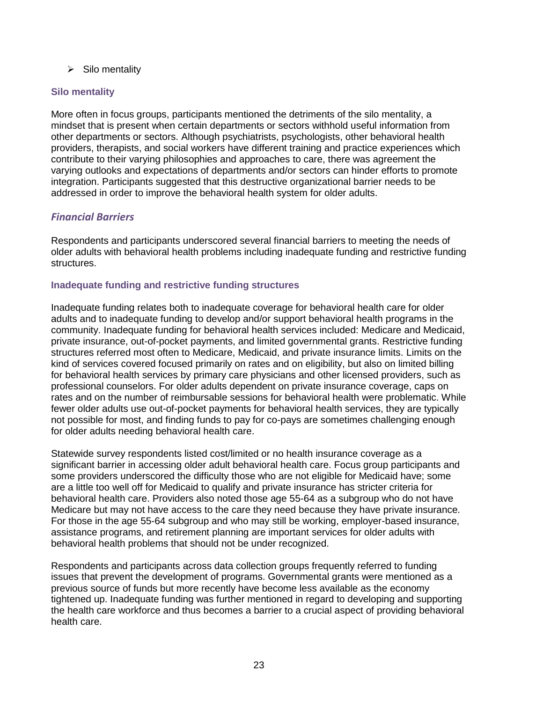$\triangleright$  Silo mentality

#### **Silo mentality**

More often in focus groups, participants mentioned the detriments of the silo mentality, a mindset that is present when certain departments or sectors withhold useful information from other departments or sectors. Although psychiatrists, psychologists, other behavioral health providers, therapists, and social workers have different training and practice experiences which contribute to their varying philosophies and approaches to care, there was agreement the varying outlooks and expectations of departments and/or sectors can hinder efforts to promote integration. Participants suggested that this destructive organizational barrier needs to be addressed in order to improve the behavioral health system for older adults.

# *Financial Barriers*

Respondents and participants underscored several financial barriers to meeting the needs of older adults with behavioral health problems including inadequate funding and restrictive funding structures.

#### **Inadequate funding and restrictive funding structures**

Inadequate funding relates both to inadequate coverage for behavioral health care for older adults and to inadequate funding to develop and/or support behavioral health programs in the community. Inadequate funding for behavioral health services included: Medicare and Medicaid, private insurance, out-of-pocket payments, and limited governmental grants. Restrictive funding structures referred most often to Medicare, Medicaid, and private insurance limits. Limits on the kind of services covered focused primarily on rates and on eligibility, but also on limited billing for behavioral health services by primary care physicians and other licensed providers, such as professional counselors. For older adults dependent on private insurance coverage, caps on rates and on the number of reimbursable sessions for behavioral health were problematic. While fewer older adults use out-of-pocket payments for behavioral health services, they are typically not possible for most, and finding funds to pay for co-pays are sometimes challenging enough for older adults needing behavioral health care.

Statewide survey respondents listed cost/limited or no health insurance coverage as a significant barrier in accessing older adult behavioral health care. Focus group participants and some providers underscored the difficulty those who are not eligible for Medicaid have; some are a little too well off for Medicaid to qualify and private insurance has stricter criteria for behavioral health care. Providers also noted those age 55-64 as a subgroup who do not have Medicare but may not have access to the care they need because they have private insurance. For those in the age 55-64 subgroup and who may still be working, employer-based insurance, assistance programs, and retirement planning are important services for older adults with behavioral health problems that should not be under recognized.

Respondents and participants across data collection groups frequently referred to funding issues that prevent the development of programs. Governmental grants were mentioned as a previous source of funds but more recently have become less available as the economy tightened up. Inadequate funding was further mentioned in regard to developing and supporting the health care workforce and thus becomes a barrier to a crucial aspect of providing behavioral health care.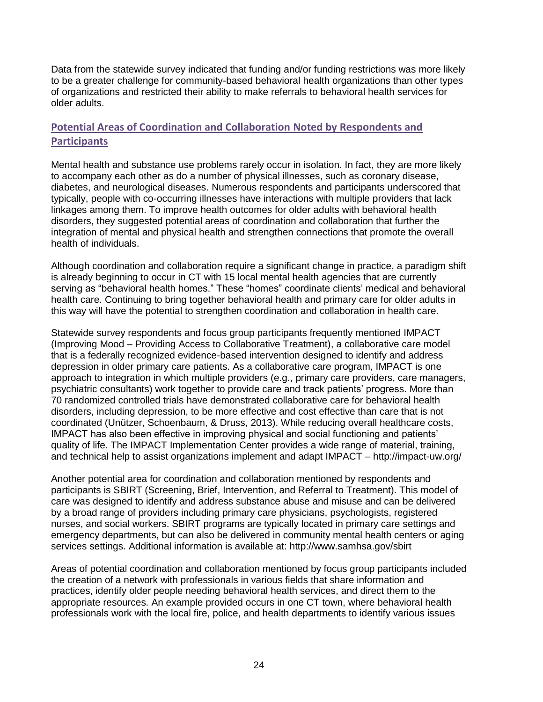Data from the statewide survey indicated that funding and/or funding restrictions was more likely to be a greater challenge for community-based behavioral health organizations than other types of organizations and restricted their ability to make referrals to behavioral health services for older adults.

# **Potential Areas of Coordination and Collaboration Noted by Respondents and Participants**

Mental health and substance use problems rarely occur in isolation. In fact, they are more likely to accompany each other as do a number of physical illnesses, such as coronary disease, diabetes, and neurological diseases. Numerous respondents and participants underscored that typically, people with co-occurring illnesses have interactions with multiple providers that lack linkages among them. To improve health outcomes for older adults with behavioral health disorders, they suggested potential areas of coordination and collaboration that further the integration of mental and physical health and strengthen connections that promote the overall health of individuals.

Although coordination and collaboration require a significant change in practice, a paradigm shift is already beginning to occur in CT with 15 local mental health agencies that are currently serving as "behavioral health homes." These "homes" coordinate clients' medical and behavioral health care. Continuing to bring together behavioral health and primary care for older adults in this way will have the potential to strengthen coordination and collaboration in health care.

Statewide survey respondents and focus group participants frequently mentioned IMPACT (Improving Mood – Providing Access to Collaborative Treatment), a collaborative care model that is a federally recognized evidence-based intervention designed to identify and address depression in older primary care patients. As a collaborative care program, IMPACT is one approach to integration in which multiple providers (e.g., primary care providers, care managers, psychiatric consultants) work together to provide care and track patients' progress. More than 70 randomized controlled trials have demonstrated collaborative care for behavioral health disorders, including depression, to be more effective and cost effective than care that is not coordinated (Unützer, Schoenbaum, & Druss, 2013). While reducing overall healthcare costs, IMPACT has also been effective in improving physical and social functioning and patients' quality of life. The IMPACT Implementation Center provides a wide range of material, training, and technical help to assist organizations implement and adapt IMPACT – http://impact-uw.org/

Another potential area for coordination and collaboration mentioned by respondents and participants is SBIRT (Screening, Brief, Intervention, and Referral to Treatment). This model of care was designed to identify and address substance abuse and misuse and can be delivered by a broad range of providers including primary care physicians, psychologists, registered nurses, and social workers. SBIRT programs are typically located in primary care settings and emergency departments, but can also be delivered in community mental health centers or aging services settings. Additional information is available at: http://www.samhsa.gov/sbirt

Areas of potential coordination and collaboration mentioned by focus group participants included the creation of a network with professionals in various fields that share information and practices, identify older people needing behavioral health services, and direct them to the appropriate resources. An example provided occurs in one CT town, where behavioral health professionals work with the local fire, police, and health departments to identify various issues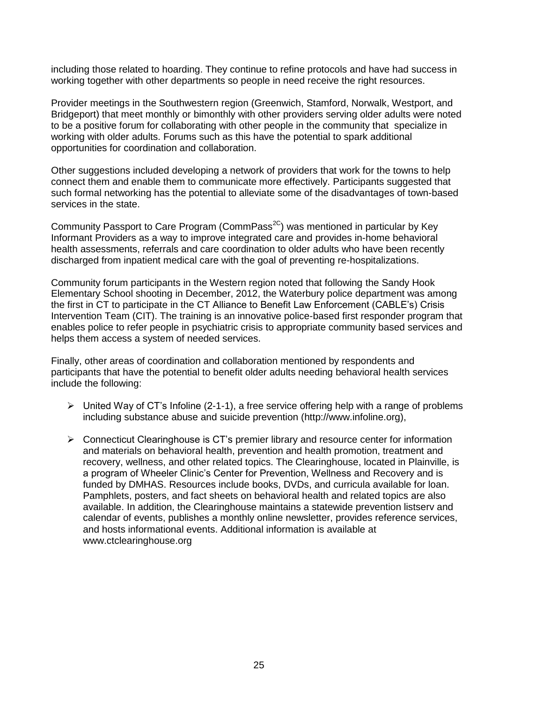including those related to hoarding. They continue to refine protocols and have had success in working together with other departments so people in need receive the right resources.

Provider meetings in the Southwestern region (Greenwich, Stamford, Norwalk, Westport, and Bridgeport) that meet monthly or bimonthly with other providers serving older adults were noted to be a positive forum for collaborating with other people in the community that specialize in working with older adults. Forums such as this have the potential to spark additional opportunities for coordination and collaboration.

Other suggestions included developing a network of providers that work for the towns to help connect them and enable them to communicate more effectively. Participants suggested that such formal networking has the potential to alleviate some of the disadvantages of town-based services in the state.

Community Passport to Care Program (CommPass<sup>2C</sup>) was mentioned in particular by Key Informant Providers as a way to improve integrated care and provides in-home behavioral health assessments, referrals and care coordination to older adults who have been recently discharged from inpatient medical care with the goal of preventing re-hospitalizations.

Community forum participants in the Western region noted that following the Sandy Hook Elementary School shooting in December, 2012, the Waterbury police department was among the first in CT to participate in the CT Alliance to Benefit Law Enforcement (CABLE's) Crisis Intervention Team (CIT). The training is an innovative police-based first responder program that enables police to refer people in psychiatric crisis to appropriate community based services and helps them access a system of needed services.

Finally, other areas of coordination and collaboration mentioned by respondents and participants that have the potential to benefit older adults needing behavioral health services include the following:

- $\triangleright$  United Way of CT's Infoline (2-1-1), a free service offering help with a range of problems including substance abuse and suicide prevention [\(http://www.infoline.org\)](http://www.infoline.org/),
- $\triangleright$  Connecticut Clearinghouse is CT's premier library and resource center for information and materials on behavioral health, prevention and health promotion, treatment and recovery, wellness, and other related topics. The Clearinghouse, located in Plainville, is a program of Wheeler Clinic's Center for Prevention, Wellness and Recovery and is funded by DMHAS. Resources include books, DVDs, and curricula available for loan. Pamphlets, posters, and fact sheets on behavioral health and related topics are also available. In addition, the Clearinghouse maintains a statewide prevention listserv and calendar of events, publishes a monthly online newsletter, provides reference services, and hosts informational events. Additional information is available at [www.ctclearinghouse.org](http://www.ctclearinghouse.org/)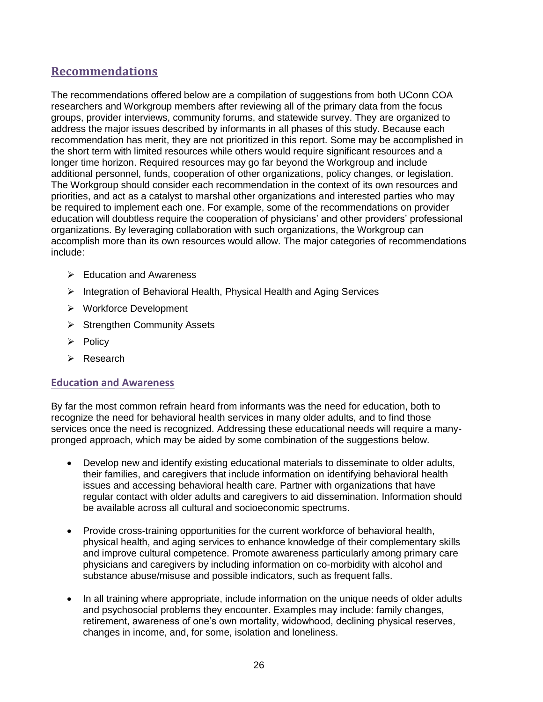# **Recommendations**

The recommendations offered below are a compilation of suggestions from both UConn COA researchers and Workgroup members after reviewing all of the primary data from the focus groups, provider interviews, community forums, and statewide survey. They are organized to address the major issues described by informants in all phases of this study. Because each recommendation has merit, they are not prioritized in this report. Some may be accomplished in the short term with limited resources while others would require significant resources and a longer time horizon. Required resources may go far beyond the Workgroup and include additional personnel, funds, cooperation of other organizations, policy changes, or legislation. The Workgroup should consider each recommendation in the context of its own resources and priorities, and act as a catalyst to marshal other organizations and interested parties who may be required to implement each one. For example, some of the recommendations on provider education will doubtless require the cooperation of physicians' and other providers' professional organizations. By leveraging collaboration with such organizations, the Workgroup can accomplish more than its own resources would allow. The major categories of recommendations include:

- $\triangleright$  Education and Awareness
- $\triangleright$  Integration of Behavioral Health, Physical Health and Aging Services
- Workforce Development
- $\triangleright$  Strengthen Community Assets
- $\triangleright$  Policy
- Research

#### **Education and Awareness**

By far the most common refrain heard from informants was the need for education, both to recognize the need for behavioral health services in many older adults, and to find those services once the need is recognized. Addressing these educational needs will require a manypronged approach, which may be aided by some combination of the suggestions below.

- Develop new and identify existing educational materials to disseminate to older adults, their families, and caregivers that include information on identifying behavioral health issues and accessing behavioral health care. Partner with organizations that have regular contact with older adults and caregivers to aid dissemination. Information should be available across all cultural and socioeconomic spectrums.
- Provide cross-training opportunities for the current workforce of behavioral health, physical health, and aging services to enhance knowledge of their complementary skills and improve cultural competence. Promote awareness particularly among primary care physicians and caregivers by including information on co-morbidity with alcohol and substance abuse/misuse and possible indicators, such as frequent falls.
- In all training where appropriate, include information on the unique needs of older adults and psychosocial problems they encounter. Examples may include: family changes, retirement, awareness of one's own mortality, widowhood, declining physical reserves, changes in income, and, for some, isolation and loneliness.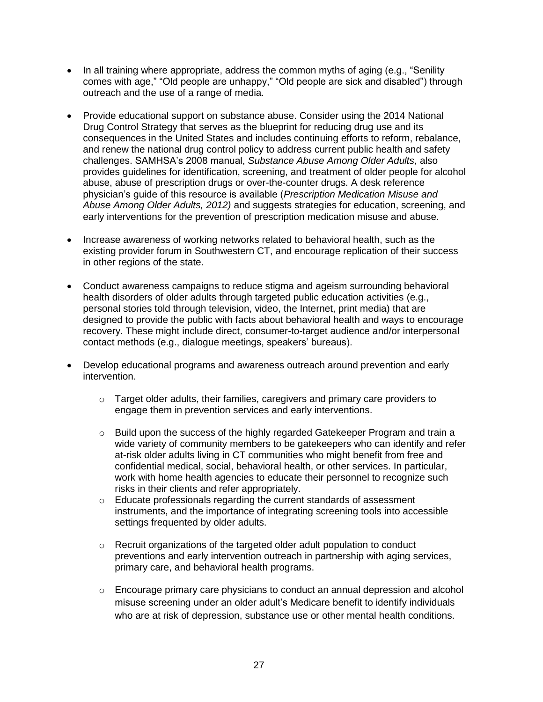- In all training where appropriate, address the common myths of aging (e.g., "Senility comes with age," "Old people are unhappy," "Old people are sick and disabled") through outreach and the use of a range of media.
- Provide educational support on substance abuse. Consider using the 2014 National Drug Control Strategy that serves as the blueprint for reducing drug use and its consequences in the United States and includes continuing efforts to reform, rebalance, and renew the national drug control policy to address current public health and safety challenges. SAMHSA's 2008 manual, *Substance Abuse Among Older Adults*, also provides guidelines for identification, screening, and treatment of older people for alcohol abuse, abuse of prescription drugs or over-the-counter drugs. A desk reference physician's guide of this resource is available (*Prescription Medication Misuse and Abuse Among Older Adults, 2012)* and suggests strategies for education, screening, and early interventions for the prevention of prescription medication misuse and abuse.
- Increase awareness of working networks related to behavioral health, such as the existing provider forum in Southwestern CT, and encourage replication of their success in other regions of the state.
- Conduct awareness campaigns to reduce stigma and ageism surrounding behavioral health disorders of older adults through targeted public education activities (e.g., personal stories told through television, video, the Internet, print media) that are designed to provide the public with facts about behavioral health and ways to encourage recovery. These might include direct, consumer-to-target audience and/or interpersonal contact methods (e.g., dialogue meetings, speakers' bureaus).
- Develop educational programs and awareness outreach around prevention and early intervention.
	- $\circ$  Target older adults, their families, caregivers and primary care providers to engage them in prevention services and early interventions.
	- $\circ$  Build upon the success of the highly regarded Gatekeeper Program and train a wide variety of community members to be gatekeepers who can identify and refer at-risk older adults living in CT communities who might benefit from free and confidential medical, social, behavioral health, or other services. In particular, work with home health agencies to educate their personnel to recognize such risks in their clients and refer appropriately.
	- o Educate professionals regarding the current standards of assessment instruments, and the importance of integrating screening tools into accessible settings frequented by older adults.
	- $\circ$  Recruit organizations of the targeted older adult population to conduct preventions and early intervention outreach in partnership with aging services, primary care, and behavioral health programs.
	- o Encourage primary care physicians to conduct an annual depression and alcohol misuse screening under an older adult's Medicare benefit to identify individuals who are at risk of depression, substance use or other mental health conditions.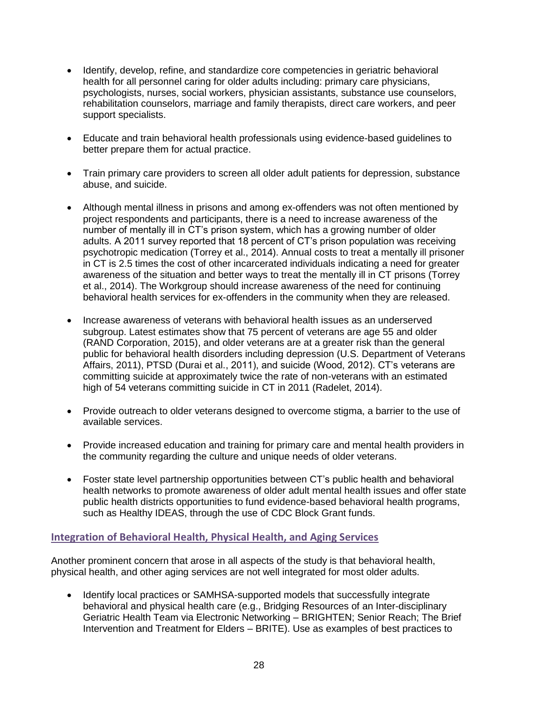- Identify, develop, refine, and standardize core competencies in geriatric behavioral health for all personnel caring for older adults including: primary care physicians, psychologists, nurses, social workers, physician assistants, substance use counselors, rehabilitation counselors, marriage and family therapists, direct care workers, and peer support specialists.
- Educate and train behavioral health professionals using evidence-based guidelines to better prepare them for actual practice.
- Train primary care providers to screen all older adult patients for depression, substance abuse, and suicide.
- Although mental illness in prisons and among ex-offenders was not often mentioned by project respondents and participants, there is a need to increase awareness of the number of mentally ill in CT's prison system, which has a growing number of older adults. A 2011 survey reported that 18 percent of CT's prison population was receiving psychotropic medication (Torrey et al., 2014). Annual costs to treat a mentally ill prisoner in CT is 2.5 times the cost of other incarcerated individuals indicating a need for greater awareness of the situation and better ways to treat the mentally ill in CT prisons (Torrey et al., 2014). The Workgroup should increase awareness of the need for continuing behavioral health services for ex-offenders in the community when they are released.
- Increase awareness of veterans with behavioral health issues as an underserved subgroup. Latest estimates show that 75 percent of veterans are age 55 and older (RAND Corporation, 2015), and older veterans are at a greater risk than the general public for behavioral health disorders including depression (U.S. Department of Veterans Affairs, 2011), PTSD (Durai et al., 2011), and suicide (Wood, 2012). CT's veterans are committing suicide at approximately twice the rate of non-veterans with an estimated high of 54 veterans committing suicide in CT in 2011 (Radelet, 2014).
- Provide outreach to older veterans designed to overcome stigma, a barrier to the use of available services.
- Provide increased education and training for primary care and mental health providers in the community regarding the culture and unique needs of older veterans.
- Foster state level partnership opportunities between CT's public health and behavioral health networks to promote awareness of older adult mental health issues and offer state public health districts opportunities to fund evidence-based behavioral health programs, such as Healthy IDEAS, through the use of CDC Block Grant funds.

#### **Integration of Behavioral Health, Physical Health, and Aging Services**

Another prominent concern that arose in all aspects of the study is that behavioral health, physical health, and other aging services are not well integrated for most older adults.

• Identify local practices or SAMHSA-supported models that successfully integrate behavioral and physical health care (e.g., Bridging Resources of an Inter-disciplinary Geriatric Health Team via Electronic Networking – BRIGHTEN; Senior Reach; The Brief Intervention and Treatment for Elders – BRITE). Use as examples of best practices to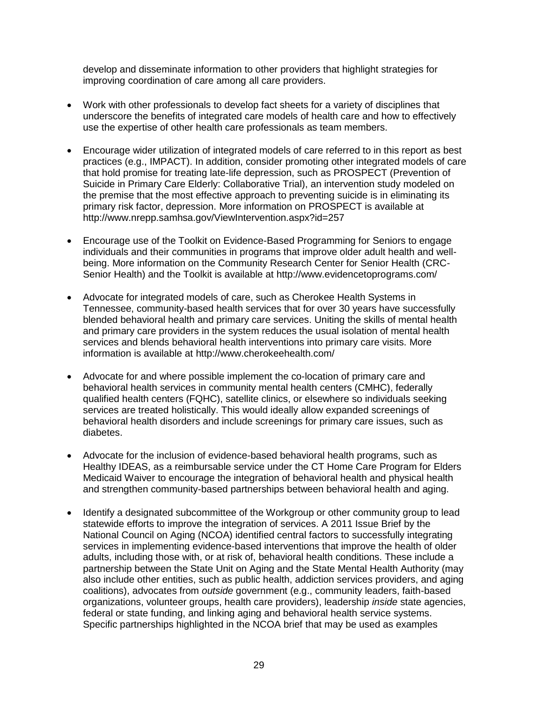develop and disseminate information to other providers that highlight strategies for improving coordination of care among all care providers.

- Work with other professionals to develop fact sheets for a variety of disciplines that underscore the benefits of integrated care models of health care and how to effectively use the expertise of other health care professionals as team members.
- Encourage wider utilization of integrated models of care referred to in this report as best practices (e.g., IMPACT). In addition, consider promoting other integrated models of care that hold promise for treating late-life depression, such as PROSPECT (Prevention of Suicide in Primary Care Elderly: Collaborative Trial), an intervention study modeled on the premise that the most effective approach to preventing suicide is in eliminating its primary risk factor, depression. More information on PROSPECT is available at http://www.nrepp.samhsa.gov/ViewIntervention.aspx?id=257
- Encourage use of the Toolkit on Evidence-Based Programming for Seniors to engage individuals and their communities in programs that improve older adult health and wellbeing. More information on the Community Research Center for Senior Health (CRC-Senior Health) and the Toolkit is available at http://www.evidencetoprograms.com/
- Advocate for integrated models of care, such as Cherokee Health Systems in Tennessee, community-based health services that for over 30 years have successfully blended behavioral health and primary care services. Uniting the skills of mental health and primary care providers in the system reduces the usual isolation of mental health services and blends behavioral health interventions into primary care visits. More information is available at http://www.cherokeehealth.com/
- Advocate for and where possible implement the co-location of primary care and behavioral health services in community mental health centers (CMHC), federally qualified health centers (FQHC), satellite clinics, or elsewhere so individuals seeking services are treated holistically. This would ideally allow expanded screenings of behavioral health disorders and include screenings for primary care issues, such as diabetes.
- Advocate for the inclusion of evidence-based behavioral health programs, such as Healthy IDEAS, as a reimbursable service under the CT Home Care Program for Elders Medicaid Waiver to encourage the integration of behavioral health and physical health and strengthen community-based partnerships between behavioral health and aging.
- Identify a designated subcommittee of the Workgroup or other community group to lead statewide efforts to improve the integration of services. A 2011 Issue Brief by the National Council on Aging (NCOA) identified central factors to successfully integrating services in implementing evidence-based interventions that improve the health of older adults, including those with, or at risk of, behavioral health conditions. These include a partnership between the State Unit on Aging and the State Mental Health Authority (may also include other entities, such as public health, addiction services providers, and aging coalitions), advocates from *outside* government (e.g., community leaders, faith-based organizations, volunteer groups, health care providers), leadership *inside* state agencies, federal or state funding, and linking aging and behavioral health service systems. Specific partnerships highlighted in the NCOA brief that may be used as examples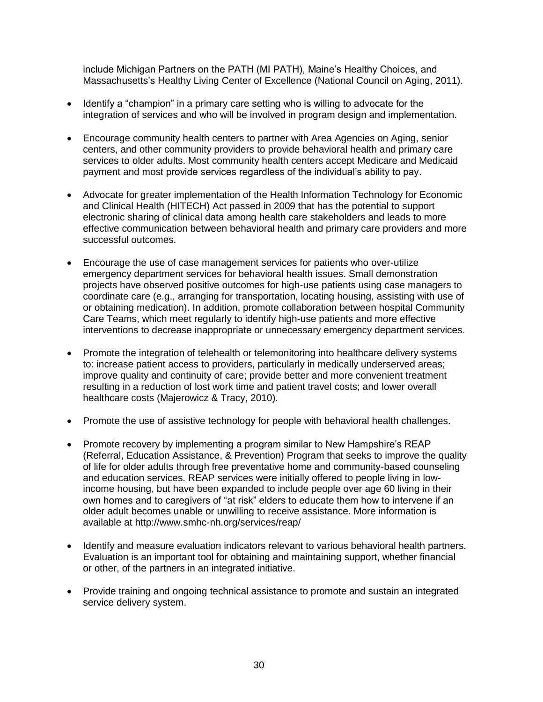include Michigan Partners on the PATH (MI PATH), Maine's Healthy Choices, and Massachusetts's Healthy Living Center of Excellence (National Council on Aging, 2011).

- Identify a "champion" in a primary care setting who is willing to advocate for the integration of services and who will be involved in program design and implementation.
- Encourage community health centers to partner with Area Agencies on Aging, senior centers, and other community providers to provide behavioral health and primary care services to older adults. Most community health centers accept Medicare and Medicaid payment and most provide services regardless of the individual's ability to pay.
- Advocate for greater implementation of the Health Information Technology for Economic and Clinical Health (HITECH) Act passed in 2009 that has the potential to support electronic sharing of clinical data among health care stakeholders and leads to more effective communication between behavioral health and primary care providers and more successful outcomes.
- Encourage the use of case management services for patients who over-utilize emergency department services for behavioral health issues. Small demonstration projects have observed positive outcomes for high-use patients using case managers to coordinate care (e.g., arranging for transportation, locating housing, assisting with use of or obtaining medication). In addition, promote collaboration between hospital Community Care Teams, which meet regularly to identify high-use patients and more effective interventions to decrease inappropriate or unnecessary emergency department services.
- Promote the integration of telehealth or telemonitoring into healthcare delivery systems to: increase patient access to providers, particularly in medically underserved areas; improve quality and continuity of care; provide better and more convenient treatment resulting in a reduction of lost work time and patient travel costs; and lower overall healthcare costs (Majerowicz & Tracy, 2010).
- Promote the use of assistive technology for people with behavioral health challenges.
- Promote recovery by implementing a program similar to New Hampshire's REAP (Referral, Education Assistance, & Prevention) Program that seeks to improve the quality of life for older adults through free preventative home and community-based counseling and education services. REAP services were initially offered to people living in lowincome housing, but have been expanded to include people over age 60 living in their own homes and to caregivers of "at risk" elders to educate them how to intervene if an older adult becomes unable or unwilling to receive assistance. More information is available at http://www.smhc-nh.org/services/reap/
- Identify and measure evaluation indicators relevant to various behavioral health partners. Evaluation is an important tool for obtaining and maintaining support, whether financial or other, of the partners in an integrated initiative.
- Provide training and ongoing technical assistance to promote and sustain an integrated service delivery system.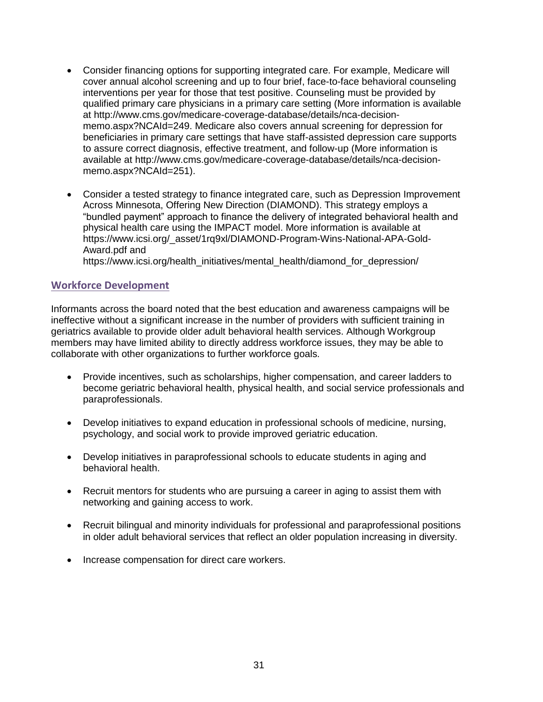- Consider financing options for supporting integrated care. For example, Medicare will cover annual alcohol screening and up to four brief, face-to-face behavioral counseling interventions per year for those that test positive. Counseling must be provided by qualified primary care physicians in a primary care setting (More information is available at [http://www.cms.gov/medicare-coverage-database/details/nca-decision](http://www.cms.gov/medicare-coverage-database/details/nca-decision-memo.aspx?NCAId=249)[memo.aspx?NCAId=249.](http://www.cms.gov/medicare-coverage-database/details/nca-decision-memo.aspx?NCAId=249) Medicare also covers annual screening for depression for beneficiaries in primary care settings that have staff-assisted depression care supports to assure correct diagnosis, effective treatment, and follow-up (More information is available at [http://www.cms.gov/medicare-coverage-database/details/nca-decision](http://www.cms.gov/medicare-coverage-database/details/nca-decision-memo.aspx?NCAId=251)[memo.aspx?NCAId=251\)](http://www.cms.gov/medicare-coverage-database/details/nca-decision-memo.aspx?NCAId=251).
- Consider a tested strategy to finance integrated care, such as Depression Improvement Across Minnesota, Offering New Direction (DIAMOND). This strategy employs a "bundled payment" approach to finance the delivery of integrated behavioral health and physical health care using the IMPACT model. More information is available at [https://www.icsi.org/\\_asset/1rq9xl/DIAMOND-Program-Wins-National-APA-Gold-](https://www.icsi.org/_asset/1rq9xl/DIAMOND-Program-Wins-National-APA-Gold-Award.pdf)[Award.pdf](https://www.icsi.org/_asset/1rq9xl/DIAMOND-Program-Wins-National-APA-Gold-Award.pdf) and

https://www.icsi.org/health\_initiatives/mental\_health/diamond\_for\_depression/

#### **Workforce Development**

Informants across the board noted that the best education and awareness campaigns will be ineffective without a significant increase in the number of providers with sufficient training in geriatrics available to provide older adult behavioral health services. Although Workgroup members may have limited ability to directly address workforce issues, they may be able to collaborate with other organizations to further workforce goals.

- Provide incentives, such as scholarships, higher compensation, and career ladders to become geriatric behavioral health, physical health, and social service professionals and paraprofessionals.
- Develop initiatives to expand education in professional schools of medicine, nursing, psychology, and social work to provide improved geriatric education.
- Develop initiatives in paraprofessional schools to educate students in aging and behavioral health.
- Recruit mentors for students who are pursuing a career in aging to assist them with networking and gaining access to work.
- Recruit bilingual and minority individuals for professional and paraprofessional positions in older adult behavioral services that reflect an older population increasing in diversity.
- Increase compensation for direct care workers.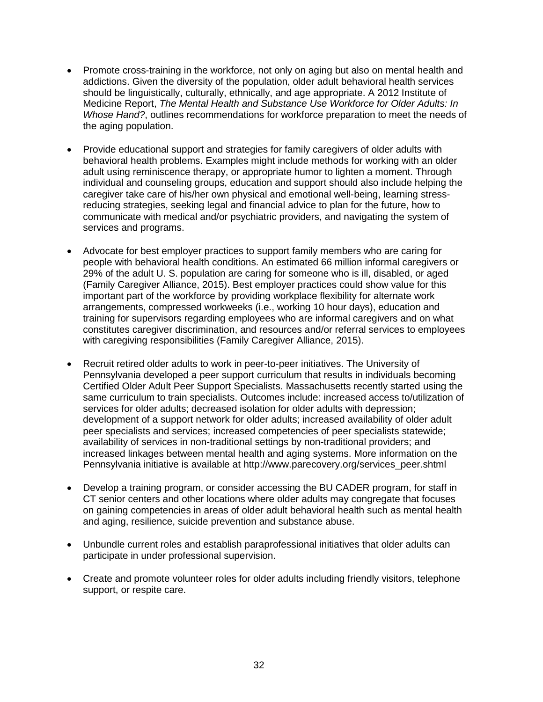- Promote cross-training in the workforce, not only on aging but also on mental health and addictions. Given the diversity of the population, older adult behavioral health services should be linguistically, culturally, ethnically, and age appropriate. A 2012 Institute of Medicine Report, *The Mental Health and Substance Use Workforce for Older Adults: In Whose Hand?*, outlines recommendations for workforce preparation to meet the needs of the aging population.
- Provide educational support and strategies for family caregivers of older adults with behavioral health problems. Examples might include methods for working with an older adult using reminiscence therapy, or appropriate humor to lighten a moment. Through individual and counseling groups, education and support should also include helping the caregiver take care of his/her own physical and emotional well-being, learning stressreducing strategies, seeking legal and financial advice to plan for the future, how to communicate with medical and/or psychiatric providers, and navigating the system of services and programs.
- Advocate for best employer practices to support family members who are caring for people with behavioral health conditions. An estimated 66 million informal caregivers or 29% of the adult U. S. population are caring for someone who is ill, disabled, or aged (Family Caregiver Alliance, 2015). Best employer practices could show value for this important part of the workforce by providing workplace flexibility for alternate work arrangements, compressed workweeks (i.e., working 10 hour days), education and training for supervisors regarding employees who are informal caregivers and on what constitutes caregiver discrimination, and resources and/or referral services to employees with caregiving responsibilities (Family Caregiver Alliance, 2015).
- Recruit retired older adults to work in peer-to-peer initiatives. The University of Pennsylvania developed a peer support curriculum that results in individuals becoming Certified Older Adult Peer Support Specialists. Massachusetts recently started using the same curriculum to train specialists. Outcomes include: increased access to/utilization of services for older adults; decreased isolation for older adults with depression; development of a support network for older adults; increased availability of older adult peer specialists and services; increased competencies of peer specialists statewide; availability of services in non-traditional settings by non-traditional providers; and increased linkages between mental health and aging systems. More information on the Pennsylvania initiative is available at [http://www.parecovery.org/services\\_peer.shtml](http://www.parecovery.org/services_peer.shtml)
- Develop a training program, or consider accessing the BU CADER program, for staff in CT senior centers and other locations where older adults may congregate that focuses on gaining competencies in areas of older adult behavioral health such as mental health and aging, resilience, suicide prevention and substance abuse.
- Unbundle current roles and establish paraprofessional initiatives that older adults can participate in under professional supervision.
- Create and promote volunteer roles for older adults including friendly visitors, telephone support, or respite care.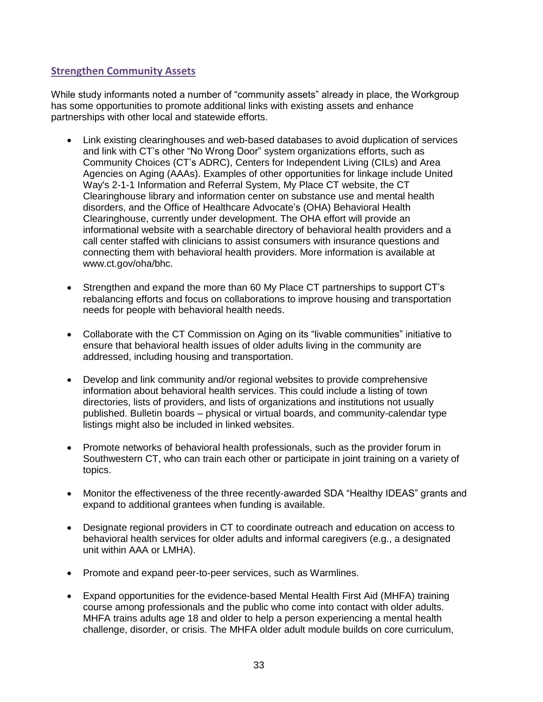# **Strengthen Community Assets**

While study informants noted a number of "community assets" already in place, the Workgroup has some opportunities to promote additional links with existing assets and enhance partnerships with other local and statewide efforts.

- Link existing clearinghouses and web-based databases to avoid duplication of services and link with CT's other "No Wrong Door" system organizations efforts, such as Community Choices (CT's ADRC), Centers for Independent Living (CILs) and Area Agencies on Aging (AAAs). Examples of other opportunities for linkage include [United](http://www.211.org/)  [Way's 2-1-1 Information and Referral System,](http://www.211.org/) My Place CT website, the CT Clearinghouse library and information center on substance use and mental health disorders, and the Office of Healthcare Advocate's (OHA) Behavioral Health Clearinghouse, currently under development. The OHA effort will provide an informational website with a searchable directory of behavioral health providers and a call center staffed with clinicians to assist consumers with insurance questions and connecting them with behavioral health providers. More information is available at [www.ct.gov/oha/bhc.](http://www.ct.gov/oha/bhc)
- Strengthen and expand the more than 60 My Place CT partnerships to support CT's rebalancing efforts and focus on collaborations to improve housing and transportation needs for people with behavioral health needs.
- Collaborate with the CT Commission on Aging on its "livable communities" initiative to ensure that behavioral health issues of older adults living in the community are addressed, including housing and transportation.
- Develop and link community and/or regional websites to provide comprehensive information about behavioral health services. This could include a listing of town directories, lists of providers, and lists of organizations and institutions not usually published. Bulletin boards – physical or virtual boards, and community-calendar type listings might also be included in linked websites.
- Promote networks of behavioral health professionals, such as the provider forum in Southwestern CT, who can train each other or participate in joint training on a variety of topics.
- Monitor the effectiveness of the three recently-awarded SDA "Healthy IDEAS" grants and expand to additional grantees when funding is available.
- Designate regional providers in CT to coordinate outreach and education on access to behavioral health services for older adults and informal caregivers (e.g., a designated unit within AAA or LMHA).
- Promote and expand peer-to-peer services, such as Warmlines.
- Expand opportunities for the evidence-based Mental Health First Aid (MHFA) training course among professionals and the public who come into contact with older adults. MHFA trains adults age 18 and older to help a person experiencing a mental health challenge, disorder, or crisis. The MHFA older adult module builds on core curriculum,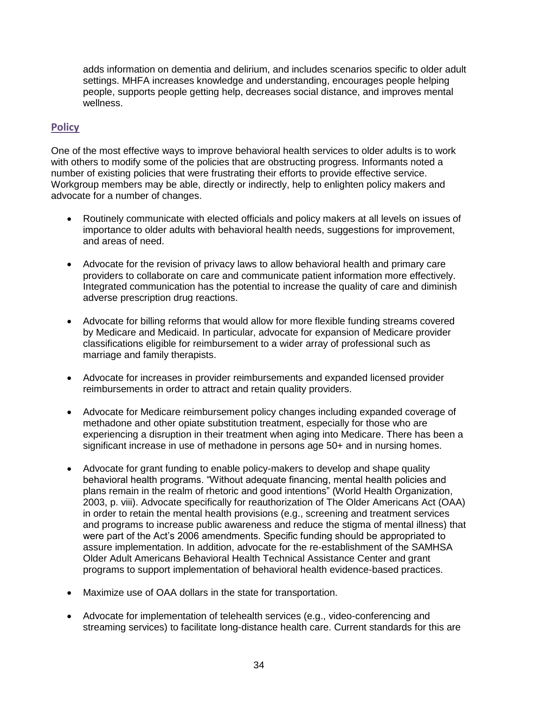adds information on dementia and delirium, and includes scenarios specific to older adult settings. MHFA increases knowledge and understanding, encourages people helping people, supports people getting help, decreases social distance, and improves mental wellness.

# **Policy**

One of the most effective ways to improve behavioral health services to older adults is to work with others to modify some of the policies that are obstructing progress. Informants noted a number of existing policies that were frustrating their efforts to provide effective service. Workgroup members may be able, directly or indirectly, help to enlighten policy makers and advocate for a number of changes.

- Routinely communicate with elected officials and policy makers at all levels on issues of importance to older adults with behavioral health needs, suggestions for improvement, and areas of need.
- Advocate for the revision of privacy laws to allow behavioral health and primary care providers to collaborate on care and communicate patient information more effectively. Integrated communication has the potential to increase the quality of care and diminish adverse prescription drug reactions.
- Advocate for billing reforms that would allow for more flexible funding streams covered by Medicare and Medicaid. In particular, advocate for expansion of Medicare provider classifications eligible for reimbursement to a wider array of professional such as marriage and family therapists.
- Advocate for increases in provider reimbursements and expanded licensed provider reimbursements in order to attract and retain quality providers.
- Advocate for Medicare reimbursement policy changes including expanded coverage of methadone and other opiate substitution treatment, especially for those who are experiencing a disruption in their treatment when aging into Medicare. There has been a significant increase in use of methadone in persons age 50+ and in nursing homes.
- Advocate for grant funding to enable policy-makers to develop and shape quality behavioral health programs. "Without adequate financing, mental health policies and plans remain in the realm of rhetoric and good intentions" (World Health Organization, 2003, p. viii). Advocate specifically for reauthorization of The Older Americans Act (OAA) in order to retain the mental health provisions (e.g., screening and treatment services and programs to increase public awareness and reduce the stigma of mental illness) that were part of the Act's 2006 amendments. Specific funding should be appropriated to assure implementation. In addition, advocate for the re-establishment of the SAMHSA Older Adult Americans Behavioral Health Technical Assistance Center and grant programs to support implementation of behavioral health evidence-based practices.
- Maximize use of OAA dollars in the state for transportation.
- Advocate for implementation of telehealth services (e.g., video-conferencing and streaming services) to facilitate long-distance health care. Current standards for this are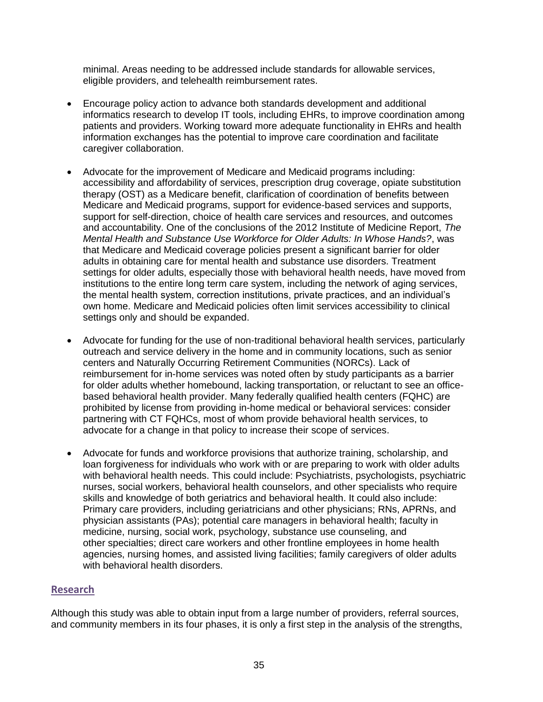minimal. Areas needing to be addressed include standards for allowable services, eligible providers, and telehealth reimbursement rates.

- Encourage policy action to advance both standards development and additional informatics research to develop IT tools, including EHRs, to improve coordination among patients and providers. Working toward more adequate functionality in EHRs and health information exchanges has the potential to improve care coordination and facilitate caregiver collaboration.
- Advocate for the improvement of Medicare and Medicaid programs including: accessibility and affordability of services, prescription drug coverage, opiate substitution therapy (OST) as a Medicare benefit, clarification of coordination of benefits between Medicare and Medicaid programs, support for evidence-based services and supports, support for self-direction, choice of health care services and resources, and outcomes and accountability. One of the conclusions of the 2012 Institute of Medicine Report, *The Mental Health and Substance Use Workforce for Older Adults: In Whose Hands?*, was that Medicare and Medicaid coverage policies present a significant barrier for older adults in obtaining care for mental health and substance use disorders. Treatment settings for older adults, especially those with behavioral health needs, have moved from institutions to the entire long term care system, including the network of aging services, the mental health system, correction institutions, private practices, and an individual's own home. Medicare and Medicaid policies often limit services accessibility to clinical settings only and should be expanded.
- Advocate for funding for the use of non-traditional behavioral health services, particularly outreach and service delivery in the home and in community locations, such as senior centers and Naturally Occurring Retirement Communities (NORCs). Lack of reimbursement for in-home services was noted often by study participants as a barrier for older adults whether homebound, lacking transportation, or reluctant to see an officebased behavioral health provider. Many federally qualified health centers (FQHC) are prohibited by license from providing in-home medical or behavioral services: consider partnering with CT FQHCs, most of whom provide behavioral health services, to advocate for a change in that policy to increase their scope of services.
- Advocate for funds and workforce provisions that authorize training, scholarship, and loan forgiveness for individuals who work with or are preparing to work with older adults with behavioral health needs. This could include: Psychiatrists, psychologists, psychiatric nurses, social workers, behavioral health counselors, and other specialists who require skills and knowledge of both geriatrics and behavioral health. It could also include: Primary care providers, including geriatricians and other physicians; RNs, APRNs, and physician assistants (PAs); potential care managers in behavioral health; faculty in medicine, nursing, social work, psychology, substance use counseling, and other specialties; direct care workers and other frontline employees in home health agencies, nursing homes, and assisted living facilities; family caregivers of older adults with behavioral health disorders.

#### **Research**

Although this study was able to obtain input from a large number of providers, referral sources, and community members in its four phases, it is only a first step in the analysis of the strengths,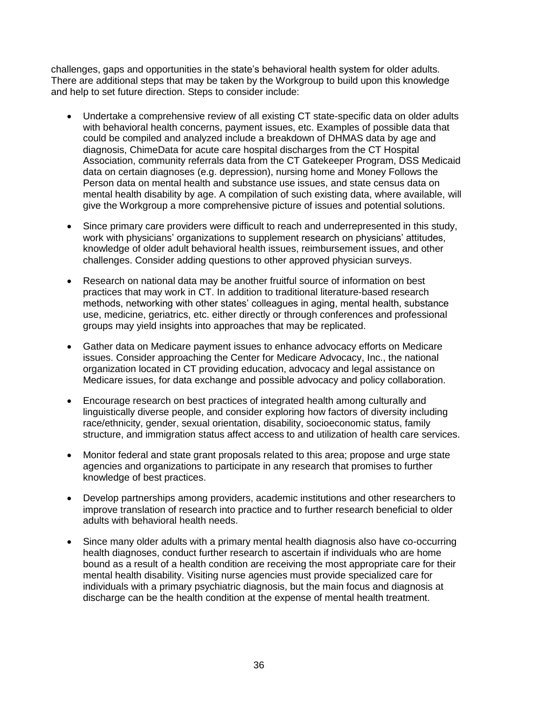challenges, gaps and opportunities in the state's behavioral health system for older adults. There are additional steps that may be taken by the Workgroup to build upon this knowledge and help to set future direction. Steps to consider include:

- Undertake a comprehensive review of all existing CT state-specific data on older adults with behavioral health concerns, payment issues, etc. Examples of possible data that could be compiled and analyzed include a breakdown of DHMAS data by age and diagnosis, ChimeData for acute care hospital discharges from the CT Hospital Association, community referrals data from the CT Gatekeeper Program, DSS Medicaid data on certain diagnoses (e.g. depression), nursing home and Money Follows the Person data on mental health and substance use issues, and state census data on mental health disability by age. A compilation of such existing data, where available, will give the Workgroup a more comprehensive picture of issues and potential solutions.
- Since primary care providers were difficult to reach and underrepresented in this study, work with physicians' organizations to supplement research on physicians' attitudes, knowledge of older adult behavioral health issues, reimbursement issues, and other challenges. Consider adding questions to other approved physician surveys.
- Research on national data may be another fruitful source of information on best practices that may work in CT. In addition to traditional literature-based research methods, networking with other states' colleagues in aging, mental health, substance use, medicine, geriatrics, etc. either directly or through conferences and professional groups may yield insights into approaches that may be replicated.
- Gather data on Medicare payment issues to enhance advocacy efforts on Medicare issues. Consider approaching the Center for Medicare Advocacy, Inc., the national organization located in CT providing education, advocacy and legal assistance on Medicare issues, for data exchange and possible advocacy and policy collaboration.
- Encourage research on best practices of integrated health among culturally and linguistically diverse people, and consider exploring how factors of diversity including race/ethnicity, gender, sexual orientation, disability, socioeconomic status, family structure, and immigration status affect access to and utilization of health care services.
- Monitor federal and state grant proposals related to this area; propose and urge state agencies and organizations to participate in any research that promises to further knowledge of best practices.
- Develop partnerships among providers, academic institutions and other researchers to improve translation of research into practice and to further research beneficial to older adults with behavioral health needs.
- Since many older adults with a primary mental health diagnosis also have co-occurring health diagnoses, conduct further research to ascertain if individuals who are home bound as a result of a health condition are receiving the most appropriate care for their mental health disability. Visiting nurse agencies must provide specialized care for individuals with a primary psychiatric diagnosis, but the main focus and diagnosis at discharge can be the health condition at the expense of mental health treatment.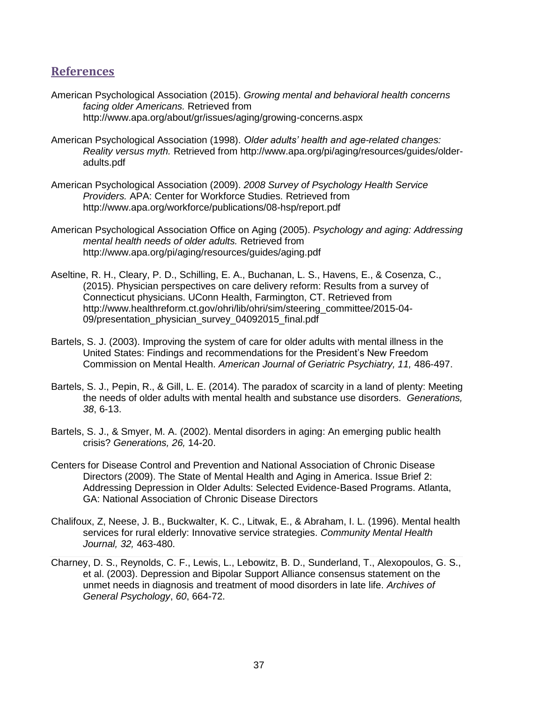# **References**

- American Psychological Association (2015). *Growing mental and behavioral health concerns facing older Americans.* Retrieved from http://www.apa.org/about/gr/issues/aging/growing-concerns.aspx
- American Psychological Association (1998). *Older adults' health and age-related changes: Reality versus myth.* Retrieved from http://www.apa.org/pi/aging/resources/guides/olderadults.pdf
- American Psychological Association (2009). *2008 Survey of Psychology Health Service Providers.* APA: Center for Workforce Studies. Retrieved from http://www.apa.org/workforce/publications/08-hsp/report.pdf
- American Psychological Association Office on Aging (2005). *Psychology and aging: Addressing mental health needs of older adults.* Retrieved from <http://www.apa.org/pi/aging/resources/guides/aging.pdf>
- Aseltine, R. H., Cleary, P. D., Schilling, E. A., Buchanan, L. S., Havens, E., & Cosenza, C., (2015). Physician perspectives on care delivery reform: Results from a survey of Connecticut physicians. UConn Health, Farmington, CT. Retrieved from http://www.healthreform.ct.gov/ohri/lib/ohri/sim/steering\_committee/2015-04-09/presentation\_physician\_survey\_04092015\_final.pdf
- Bartels, S. J. (2003). Improving the system of care for older adults with mental illness in the United States: Findings and recommendations for the President's New Freedom Commission on Mental Health. *American Journal of Geriatric Psychiatry, 11,* 486-497.
- Bartels, S. J., Pepin, R., & Gill, L. E. (2014). The paradox of scarcity in a land of plenty: Meeting the needs of older adults with mental health and substance use disorders. *Generations, 38*, 6-13.
- Bartels, S. J., & Smyer, M. A. (2002). Mental disorders in aging: An emerging public health crisis? *Generations, 26,* 14-20.
- Centers for Disease Control and Prevention and National Association of Chronic Disease Directors (2009). The State of Mental Health and Aging in America. Issue Brief 2: Addressing Depression in Older Adults: Selected Evidence-Based Programs. Atlanta, GA: National Association of Chronic Disease Directors
- Chalifoux, Z, Neese, J. B., Buckwalter, K. C., Litwak, E., & Abraham, I. L. (1996). Mental health services for rural elderly: Innovative service strategies. *Community Mental Health Journal, 32,* 463-480.
- Charney, D. S., Reynolds, C. F., Lewis, L., Lebowitz, B. D., Sunderland, T., Alexopoulos, G. S., et al. (2003). Depression and Bipolar Support Alliance consensus statement on the unmet needs in diagnosis and treatment of mood disorders in late life. *Archives of General Psychology*, *60*, 664-72.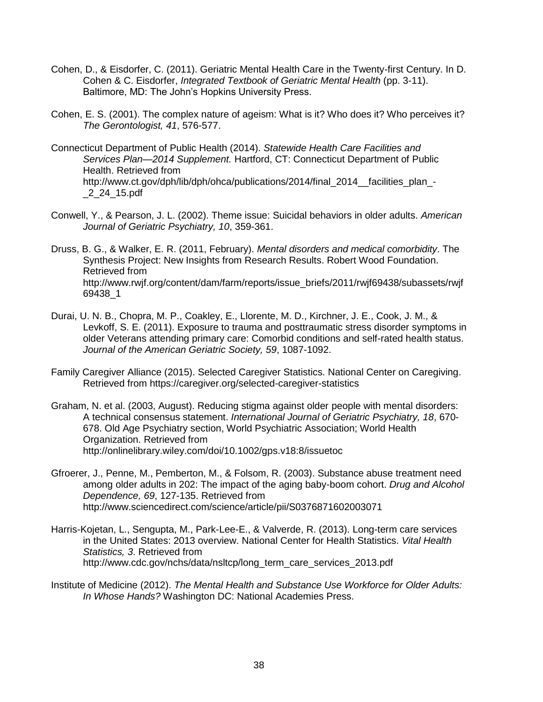- Cohen, D., & Eisdorfer, C. (2011). Geriatric Mental Health Care in the Twenty-first Century. In D. Cohen & C. Eisdorfer, *Integrated Textbook of Geriatric Mental Health* (pp. 3-11). Baltimore, MD: The John's Hopkins University Press.
- Cohen, E. S. (2001). The complex nature of ageism: What is it? Who does it? Who perceives it? *The Gerontologist, 41*, 576-577.
- Connecticut Department of Public Health (2014). *Statewide Health Care Facilities and Services Plan—2014 Supplement.* Hartford, CT: Connecticut Department of Public Health. Retrieved from http://www.ct.gov/dph/lib/dph/ohca/publications/2014/final\_2014\_\_facilities\_plan\_-\_2\_24\_15.pdf
- Conwell, Y., & Pearson, J. L. (2002). Theme issue: Suicidal behaviors in older adults. *American Journal of Geriatric Psychiatry, 10*, 359-361.
- Druss, B. G., & Walker, E. R. (2011, February). *Mental disorders and medical comorbidity*. The Synthesis Project: New Insights from Research Results. Robert Wood Foundation. Retrieved from [http://www.rwjf.org/content/dam/farm/reports/issue\\_briefs/2011/rwjf69438/subassets/rwjf](http://www.rwjf.org/content/dam/farm/reports/issue_briefs/2011/rwjf69438/subassets/rwjf69438_1) [69438\\_1](http://www.rwjf.org/content/dam/farm/reports/issue_briefs/2011/rwjf69438/subassets/rwjf69438_1)
- Durai, U. N. B., Chopra, M. P., Coakley, E., Llorente, M. D., Kirchner, J. E., Cook, J. M., & Levkoff, S. E. (2011). Exposure to trauma and posttraumatic stress disorder symptoms in older Veterans attending primary care: Comorbid conditions and self-rated health status. *Journal of the American Geriatric Society, 59*, 1087-1092.
- Family Caregiver Alliance (2015). Selected Caregiver Statistics. National Center on Caregiving. Retrieved from https://caregiver.org/selected-caregiver-statistics
- Graham, N. et al. (2003, August). Reducing stigma against older people with mental disorders: A technical consensus statement. *International Journal of Geriatric Psychiatry, 18*, 670- 678. Old Age Psychiatry section, World Psychiatric Association; World Health Organization. Retrieved from http://onlinelibrary.wiley.com/doi/10.1002/gps.v18:8/issuetoc
- Gfroerer, J., Penne, M., Pemberton, M., & Folsom, R. (2003). Substance abuse treatment need among older adults in 202: The impact of the aging baby-boom cohort. *Drug and Alcohol Dependence, 69*, 127-135. Retrieved from http://www.sciencedirect.com/science/article/pii/S0376871602003071
- Harris-Kojetan, L., Sengupta, M., Park-Lee-E., & Valverde, R. (2013). Long-term care services in the United States: 2013 overview. National Center for Health Statistics. *Vital Health Statistics, 3*. Retrieved from http://www.cdc.gov/nchs/data/nsltcp/long\_term\_care\_services\_2013.pdf
- Institute of Medicine (2012). *The Mental Health and Substance Use Workforce for Older Adults: In Whose Hands?* Washington DC: National Academies Press.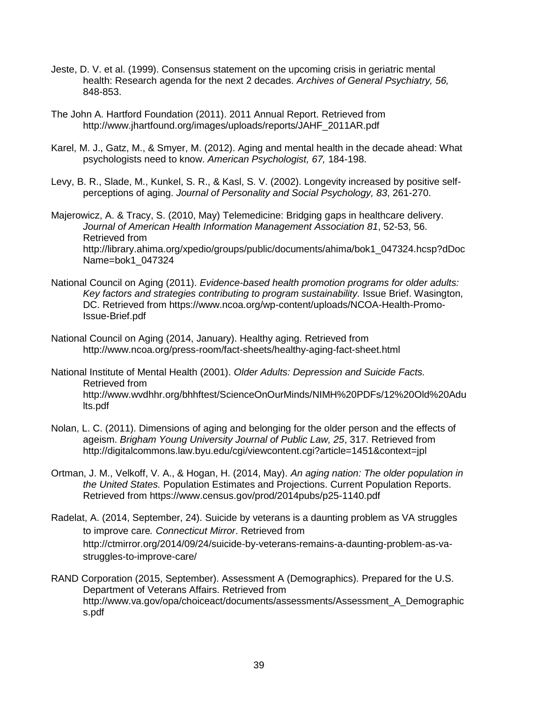- Jeste, D. V. et al. (1999). Consensus statement on the upcoming crisis in geriatric mental health: Research agenda for the next 2 decades. *Archives of General Psychiatry, 56,*  848-853.
- The John A. Hartford Foundation (2011). 2011 Annual Report. Retrieved from http://www.jhartfound.org/images/uploads/reports/JAHF\_2011AR.pdf
- Karel, M. J., Gatz, M., & Smyer, M. (2012). Aging and mental health in the decade ahead: What psychologists need to know. *American Psychologist, 67,* 184-198.
- Levy, B. R., Slade, M., Kunkel, S. R., & Kasl, S. V. (2002). Longevity increased by positive selfperceptions of aging. *Journal of Personality and Social Psychology, 83*, 261-270.
- Majerowicz, A. & Tracy, S. (2010, May) Telemedicine: Bridging gaps in healthcare delivery. *Journal of American Health Information Management Association 81*, 52-53, 56. Retrieved from http://library.ahima.org/xpedio/groups/public/documents/ahima/bok1\_047324.hcsp?dDoc Name=bok1\_047324
- National Council on Aging (2011). *Evidence-based health promotion programs for older adults: Key factors and strategies contributing to program sustainability.* Issue Brief. Wasington, DC. Retrieved from https://www.ncoa.org/wp-content/uploads/NCOA-Health-Promo-Issue-Brief.pdf
- National Council on Aging (2014, January). Healthy aging. Retrieved from http://www.ncoa.org/press-room/fact-sheets/healthy-aging-fact-sheet.html
- National Institute of Mental Health (2001). *Older Adults: Depression and Suicide Facts.*  Retrieved from http://www.wvdhhr.org/bhhftest/ScienceOnOurMinds/NIMH%20PDFs/12%20Old%20Adu lts.pdf
- Nolan, L. C. (2011). Dimensions of aging and belonging for the older person and the effects of ageism. *Brigham Young University Journal of Public Law, 25*, 317. Retrieved from http://digitalcommons.law.byu.edu/cgi/viewcontent.cgi?article=1451&context=jpl
- Ortman, J. M., Velkoff, V. A., & Hogan, H. (2014, May). *An aging nation: The older population in the United States.* Population Estimates and Projections. Current Population Reports. Retrieved from https://www.census.gov/prod/2014pubs/p25-1140.pdf
- Radelat, A. (2014, September, 24). Suicide by veterans is a daunting problem as VA struggles to improve care*. Connecticut Mirror*. Retrieved from http://ctmirror.org/2014/09/24/suicide-by-veterans-remains-a-daunting-problem-as-vastruggles-to-improve-care/
- RAND Corporation (2015, September). Assessment A (Demographics). Prepared for the U.S. Department of Veterans Affairs. Retrieved from http://www.va.gov/opa/choiceact/documents/assessments/Assessment\_A\_Demographic s.pdf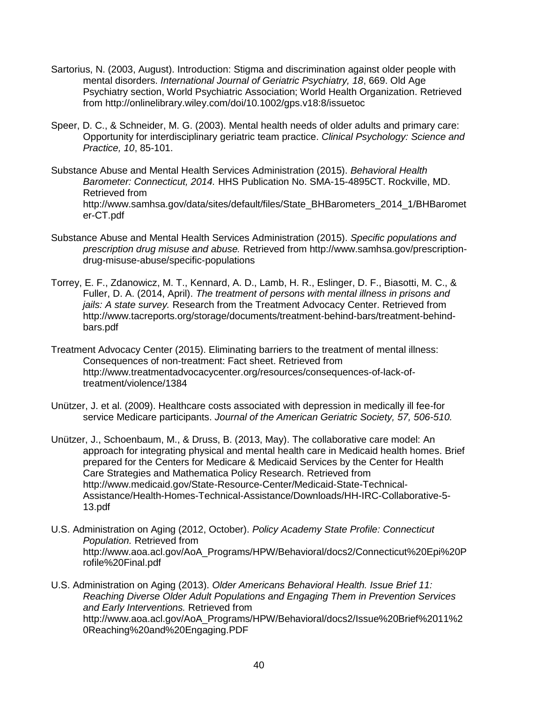- Sartorius, N. (2003, August). Introduction: Stigma and discrimination against older people with mental disorders. *International Journal of Geriatric Psychiatry, 18*, 669. Old Age Psychiatry section, World Psychiatric Association; World Health Organization. Retrieved from http://onlinelibrary.wiley.com/doi/10.1002/gps.v18:8/issuetoc
- Speer, D. C., & Schneider, M. G. (2003). Mental health needs of older adults and primary care: Opportunity for interdisciplinary geriatric team practice. *Clinical Psychology: Science and Practice, 10*, 85-101.
- Substance Abuse and Mental Health Services Administration (2015). *Behavioral Health Barometer: Connecticut, 2014.* HHS Publication No. SMA-15-4895CT. Rockville, MD. Retrieved from http://www.samhsa.gov/data/sites/default/files/State\_BHBarometers\_2014\_1/BHBaromet er-CT.pdf
- Substance Abuse and Mental Health Services Administration (2015). *Specific populations and prescription drug misuse and abuse.* Retrieved from http://www.samhsa.gov/prescriptiondrug-misuse-abuse/specific-populations
- Torrey, E. F., Zdanowicz, M. T., Kennard, A. D., Lamb, H. R., Eslinger, D. F., Biasotti, M. C., & Fuller, D. A. (2014, April). *The treatment of persons with mental illness in prisons and jails: A state survey.* Research from the Treatment Advocacy Center. Retrieved from http://www.tacreports.org/storage/documents/treatment-behind-bars/treatment-behindbars.pdf
- Treatment Advocacy Center (2015). Eliminating barriers to the treatment of mental illness: Consequences of non-treatment: Fact sheet. Retrieved from http://www.treatmentadvocacycenter.org/resources/consequences-of-lack-oftreatment/violence/1384
- Unützer, J. et al. (2009). Healthcare costs associated with depression in medically ill fee-for service Medicare participants. *Journal of the American Geriatric Society, 57, 506-510.*
- Unützer, J., Schoenbaum, M., & Druss, B. (2013, May). The collaborative care model: An approach for integrating physical and mental health care in Medicaid health homes. Brief prepared for the Centers for Medicare & Medicaid Services by the Center for Health Care Strategies and Mathematica Policy Research. Retrieved from http://www.medicaid.gov/State-Resource-Center/Medicaid-State-Technical-Assistance/Health-Homes-Technical-Assistance/Downloads/HH-IRC-Collaborative-5- 13.pdf
- U.S. Administration on Aging (2012, October). *Policy Academy State Profile: Connecticut Population.* Retrieved from http://www.aoa.acl.gov/AoA\_Programs/HPW/Behavioral/docs2/Connecticut%20Epi%20P rofile%20Final.pdf
- U.S. Administration on Aging (2013). *Older Americans Behavioral Health. Issue Brief 11: Reaching Diverse Older Adult Populations and Engaging Them in Prevention Services and Early Interventions.* Retrieved from http://www.aoa.acl.gov/AoA\_Programs/HPW/Behavioral/docs2/Issue%20Brief%2011%2 0Reaching%20and%20Engaging.PDF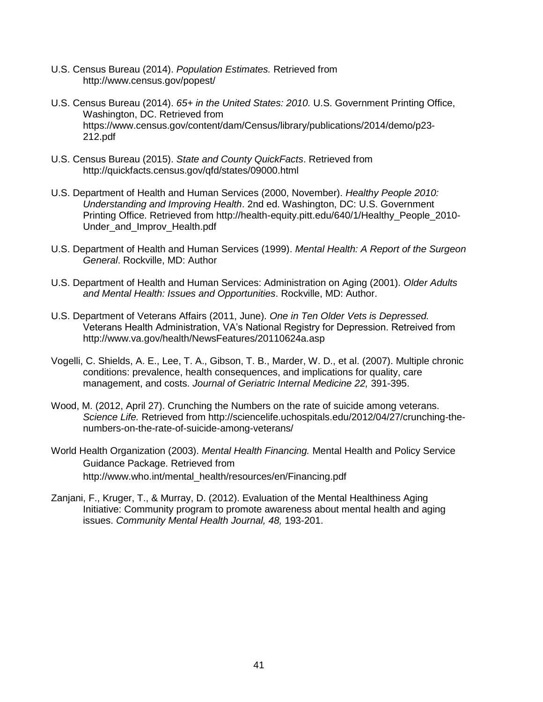- U.S. Census Bureau (2014). *Population Estimates.* Retrieved from <http://www.census.gov/popest/>
- U.S. Census Bureau (2014). *65+ in the United States: 2010.* U.S. Government Printing Office, Washington, DC. Retrieved from https://www.census.gov/content/dam/Census/library/publications/2014/demo/p23- 212.pdf
- U.S. Census Bureau (2015). *State and County QuickFacts*. Retrieved from http://quickfacts.census.gov/qfd/states/09000.html
- U.S. Department of Health and Human Services (2000, November). *Healthy People 2010: Understanding and Improving Health*. 2nd ed. Washington, DC: U.S. Government Printing Office. Retrieved from http://health-equity.pitt.edu/640/1/Healthy\_People\_2010- Under\_and\_Improv\_Health.pdf
- U.S. Department of Health and Human Services (1999). *Mental Health: A Report of the Surgeon General*. Rockville, MD: Author
- U.S. Department of Health and Human Services: Administration on Aging (2001). *Older Adults and Mental Health: Issues and Opportunities*. Rockville, MD: Author.
- U.S. Department of Veterans Affairs (2011, June). *One in Ten Older Vets is Depressed.* Veterans Health Administration, VA's National Registry for Depression. Retreived from http://www.va.gov/health/NewsFeatures/20110624a.asp
- Vogelli, C. Shields, A. E., Lee, T. A., Gibson, T. B., Marder, W. D., et al. (2007). Multiple chronic conditions: prevalence, health consequences, and implications for quality, care management, and costs. *Journal of Geriatric Internal Medicine 22,* 391-395.
- Wood, M. (2012, April 27). Crunching the Numbers on the rate of suicide among veterans. *Science Life.* Retrieved from http://sciencelife.uchospitals.edu/2012/04/27/crunching-thenumbers-on-the-rate-of-suicide-among-veterans/
- World Health Organization (2003). *Mental Health Financing.* Mental Health and Policy Service Guidance Package. Retrieved from http://www.who.int/mental\_health/resources/en/Financing.pdf
- Zanjani, F., Kruger, T., & Murray, D. (2012). Evaluation of the Mental Healthiness Aging Initiative: Community program to promote awareness about mental health and aging issues. *Community Mental Health Journal, 48,* 193-201.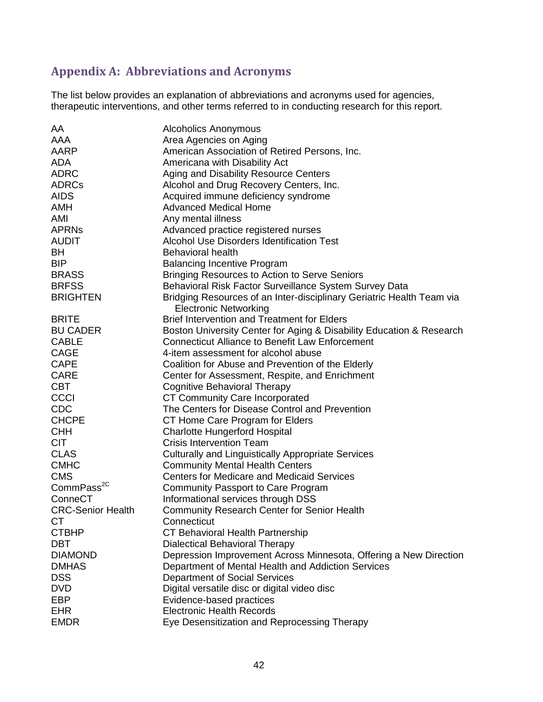# **Appendix A: Abbreviations and Acronyms**

The list below provides an explanation of abbreviations and acronyms used for agencies, therapeutic interventions, and other terms referred to in conducting research for this report.

| AA                       | Alcoholics Anonymous                                                  |
|--------------------------|-----------------------------------------------------------------------|
| AAA                      | Area Agencies on Aging                                                |
| AARP                     | American Association of Retired Persons, Inc.                         |
| <b>ADA</b>               | Americana with Disability Act                                         |
| <b>ADRC</b>              | Aging and Disability Resource Centers                                 |
| <b>ADRCs</b>             | Alcohol and Drug Recovery Centers, Inc.                               |
| <b>AIDS</b>              | Acquired immune deficiency syndrome                                   |
| <b>AMH</b>               | <b>Advanced Medical Home</b>                                          |
| AMI                      | Any mental illness                                                    |
| <b>APRNs</b>             | Advanced practice registered nurses                                   |
| <b>AUDIT</b>             | <b>Alcohol Use Disorders Identification Test</b>                      |
| BH                       | <b>Behavioral health</b>                                              |
| <b>BIP</b>               | <b>Balancing Incentive Program</b>                                    |
| <b>BRASS</b>             | <b>Bringing Resources to Action to Serve Seniors</b>                  |
| <b>BRFSS</b>             | Behavioral Risk Factor Surveillance System Survey Data                |
| <b>BRIGHTEN</b>          | Bridging Resources of an Inter-disciplinary Geriatric Health Team via |
|                          | <b>Electronic Networking</b>                                          |
| <b>BRITE</b>             | <b>Brief Intervention and Treatment for Elders</b>                    |
| <b>BU CADER</b>          | Boston University Center for Aging & Disability Education & Research  |
| <b>CABLE</b>             | <b>Connecticut Alliance to Benefit Law Enforcement</b>                |
| <b>CAGE</b>              | 4-item assessment for alcohol abuse                                   |
| <b>CAPE</b>              | Coalition for Abuse and Prevention of the Elderly                     |
| <b>CARE</b>              | Center for Assessment, Respite, and Enrichment                        |
| <b>CBT</b>               | <b>Cognitive Behavioral Therapy</b>                                   |
| <b>CCCI</b>              | CT Community Care Incorporated                                        |
| <b>CDC</b>               | The Centers for Disease Control and Prevention                        |
| <b>CHCPE</b>             | CT Home Care Program for Elders                                       |
| <b>CHH</b>               | <b>Charlotte Hungerford Hospital</b>                                  |
| <b>CIT</b>               | <b>Crisis Intervention Team</b>                                       |
| <b>CLAS</b>              | <b>Culturally and Linguistically Appropriate Services</b>             |
| <b>CMHC</b>              | <b>Community Mental Health Centers</b>                                |
| <b>CMS</b>               | <b>Centers for Medicare and Medicaid Services</b>                     |
| CommPass <sup>2C</sup>   | <b>Community Passport to Care Program</b>                             |
| ConneCT                  | Informational services through DSS                                    |
| <b>CRC-Senior Health</b> | <b>Community Research Center for Senior Health</b>                    |
| CT                       | Connecticut                                                           |
| <b>CTBHP</b>             | CT Behavioral Health Partnership                                      |
| <b>DBT</b>               | Dialectical Behavioral Therapy                                        |
| <b>DIAMOND</b>           | Depression Improvement Across Minnesota, Offering a New Direction     |
| <b>DMHAS</b>             | Department of Mental Health and Addiction Services                    |
| <b>DSS</b>               | Department of Social Services                                         |
| <b>DVD</b>               | Digital versatile disc or digital video disc                          |
| <b>EBP</b>               | Evidence-based practices                                              |
| <b>EHR</b>               | <b>Electronic Health Records</b>                                      |
| <b>EMDR</b>              | Eye Desensitization and Reprocessing Therapy                          |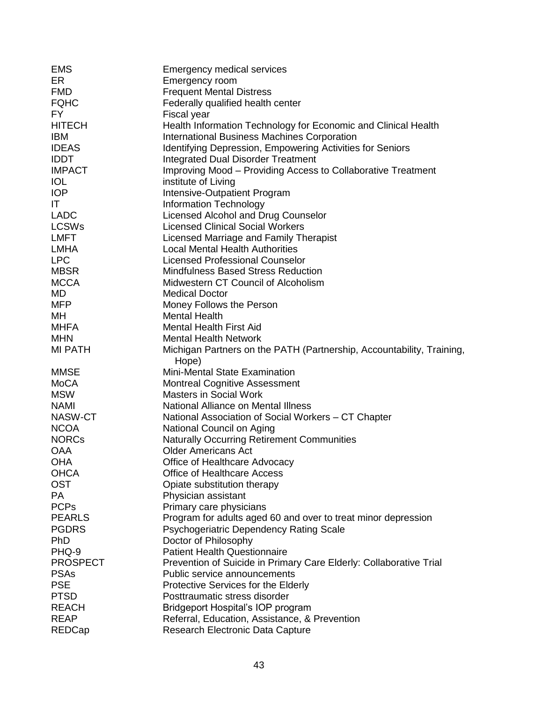| <b>EMS</b>        | <b>Emergency medical services</b>                                              |
|-------------------|--------------------------------------------------------------------------------|
| ER                | Emergency room                                                                 |
| <b>FMD</b>        | <b>Frequent Mental Distress</b>                                                |
| <b>FQHC</b>       | Federally qualified health center                                              |
| FY.               | Fiscal year                                                                    |
| <b>HITECH</b>     | Health Information Technology for Economic and Clinical Health                 |
| <b>IBM</b>        | <b>International Business Machines Corporation</b>                             |
| <b>IDEAS</b>      | Identifying Depression, Empowering Activities for Seniors                      |
| <b>IDDT</b>       | <b>Integrated Dual Disorder Treatment</b>                                      |
| <b>IMPACT</b>     | Improving Mood - Providing Access to Collaborative Treatment                   |
| <b>IOL</b>        | institute of Living                                                            |
| <b>IOP</b>        | Intensive-Outpatient Program                                                   |
| IT                | <b>Information Technology</b>                                                  |
| <b>LADC</b>       | Licensed Alcohol and Drug Counselor                                            |
| <b>LCSWs</b>      | <b>Licensed Clinical Social Workers</b>                                        |
| <b>LMFT</b>       | Licensed Marriage and Family Therapist                                         |
| <b>LMHA</b>       | <b>Local Mental Health Authorities</b>                                         |
| <b>LPC</b>        | <b>Licensed Professional Counselor</b>                                         |
| <b>MBSR</b>       | <b>Mindfulness Based Stress Reduction</b>                                      |
| <b>MCCA</b>       | Midwestern CT Council of Alcoholism                                            |
| MD                | <b>Medical Doctor</b>                                                          |
|                   |                                                                                |
| <b>MFP</b>        | Money Follows the Person                                                       |
| MН<br><b>MHFA</b> | <b>Mental Health</b>                                                           |
|                   | <b>Mental Health First Aid</b>                                                 |
| <b>MHN</b>        | <b>Mental Health Network</b>                                                   |
| <b>MI PATH</b>    | Michigan Partners on the PATH (Partnership, Accountability, Training,<br>Hope) |
| <b>MMSE</b>       | <b>Mini-Mental State Examination</b>                                           |
| <b>MoCA</b>       | <b>Montreal Cognitive Assessment</b>                                           |
| <b>MSW</b>        | <b>Masters in Social Work</b>                                                  |
| <b>NAMI</b>       | National Alliance on Mental Illness                                            |
| NASW-CT           | National Association of Social Workers – CT Chapter                            |
| <b>NCOA</b>       | National Council on Aging                                                      |
| <b>NORCs</b>      | <b>Naturally Occurring Retirement Communities</b>                              |
| <b>OAA</b>        | <b>Older Americans Act</b>                                                     |
| OHA               | Office of Healthcare Advocacy                                                  |
| <b>OHCA</b>       | <b>Office of Healthcare Access</b>                                             |
| <b>OST</b>        | Opiate substitution therapy                                                    |
| <b>PA</b>         | Physician assistant                                                            |
| <b>PCPs</b>       | Primary care physicians                                                        |
| <b>PEARLS</b>     | Program for adults aged 60 and over to treat minor depression                  |
| <b>PGDRS</b>      |                                                                                |
| PhD               | Psychogeriatric Dependency Rating Scale                                        |
|                   | Doctor of Philosophy                                                           |
| PHQ-9             | <b>Patient Health Questionnaire</b>                                            |
| <b>PROSPECT</b>   | Prevention of Suicide in Primary Care Elderly: Collaborative Trial             |
| <b>PSAs</b>       | Public service announcements                                                   |
| <b>PSE</b>        | Protective Services for the Elderly                                            |
| <b>PTSD</b>       | Posttraumatic stress disorder                                                  |
| <b>REACH</b>      | Bridgeport Hospital's IOP program                                              |
| <b>REAP</b>       | Referral, Education, Assistance, & Prevention                                  |
| <b>REDCap</b>     | Research Electronic Data Capture                                               |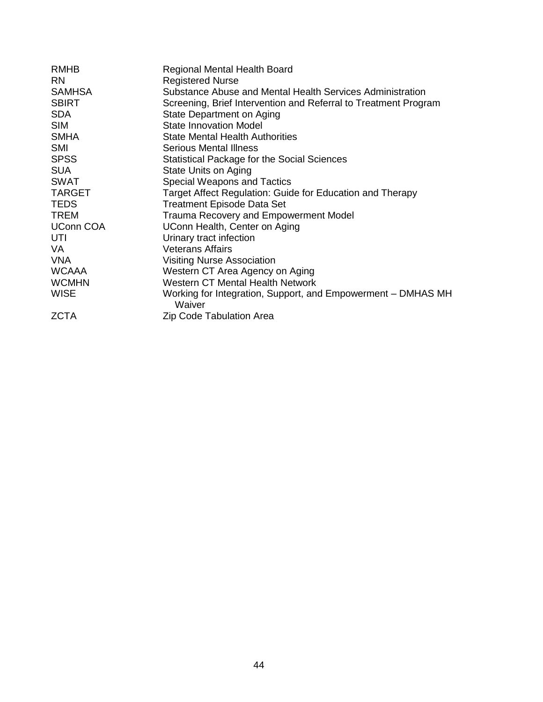| <b>RMHB</b>      | <b>Regional Mental Health Board</b>                                    |
|------------------|------------------------------------------------------------------------|
| <b>RN</b>        | <b>Registered Nurse</b>                                                |
| <b>SAMHSA</b>    | Substance Abuse and Mental Health Services Administration              |
| <b>SBIRT</b>     | Screening, Brief Intervention and Referral to Treatment Program        |
| <b>SDA</b>       | State Department on Aging                                              |
| <b>SIM</b>       | <b>State Innovation Model</b>                                          |
| <b>SMHA</b>      | <b>State Mental Health Authorities</b>                                 |
| <b>SMI</b>       | <b>Serious Mental Illness</b>                                          |
| <b>SPSS</b>      | Statistical Package for the Social Sciences                            |
| <b>SUA</b>       | State Units on Aging                                                   |
| <b>SWAT</b>      | <b>Special Weapons and Tactics</b>                                     |
| <b>TARGET</b>    | Target Affect Regulation: Guide for Education and Therapy              |
| <b>TEDS</b>      | <b>Treatment Episode Data Set</b>                                      |
| TREM             | <b>Trauma Recovery and Empowerment Model</b>                           |
| <b>UConn COA</b> | UConn Health, Center on Aging                                          |
| UTI              | Urinary tract infection                                                |
| VA               | <b>Veterans Affairs</b>                                                |
| <b>VNA</b>       | <b>Visiting Nurse Association</b>                                      |
| <b>WCAAA</b>     | Western CT Area Agency on Aging                                        |
| <b>WCMHN</b>     | <b>Western CT Mental Health Network</b>                                |
| <b>WISE</b>      | Working for Integration, Support, and Empowerment – DMHAS MH<br>Waiver |
| <b>ZCTA</b>      | Zip Code Tabulation Area                                               |